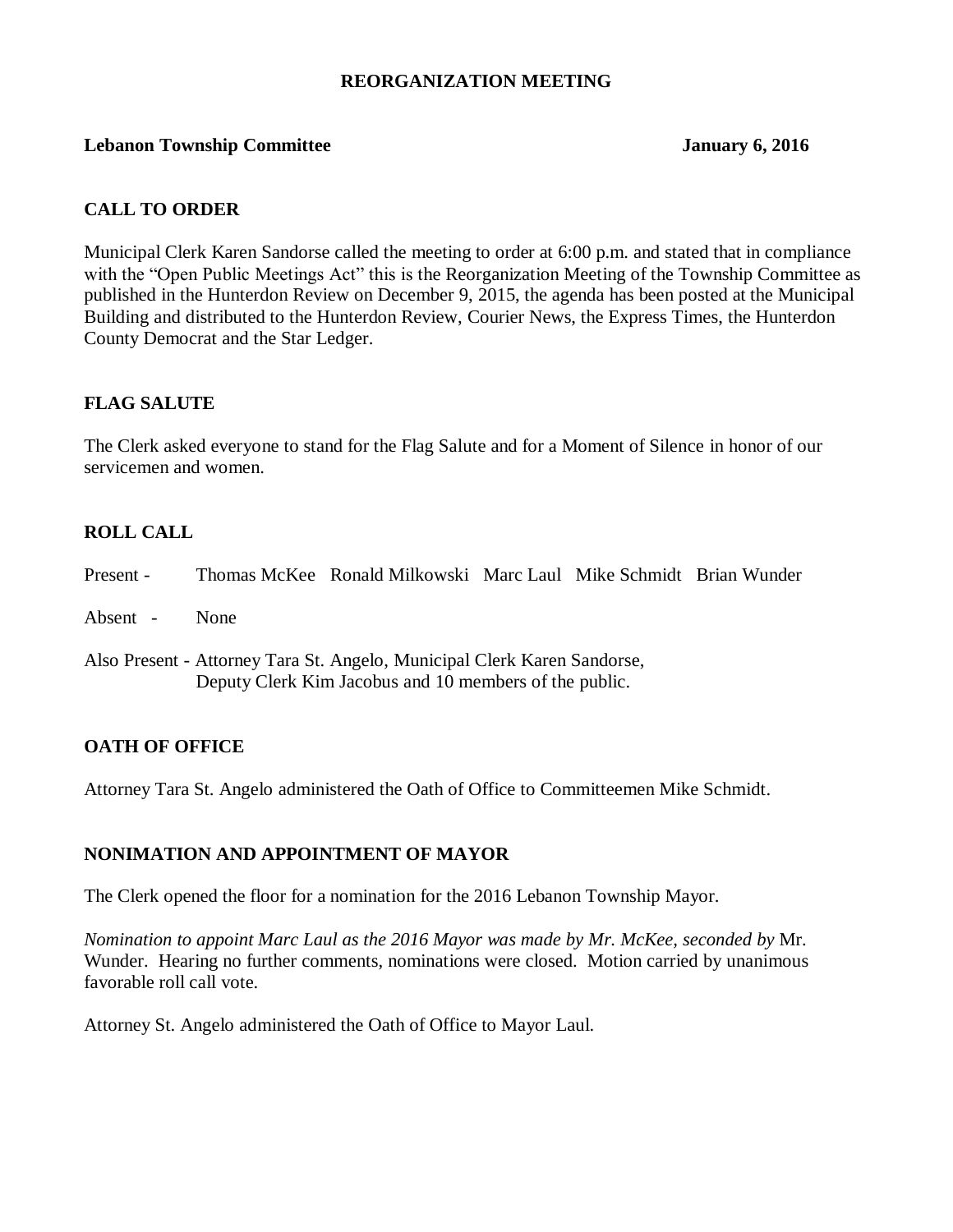### **REORGANIZATION MEETING**

### **Lebanon Township Committee January 6, 2016**

# **CALL TO ORDER**

Municipal Clerk Karen Sandorse called the meeting to order at 6:00 p.m. and stated that in compliance with the "Open Public Meetings Act" this is the Reorganization Meeting of the Township Committee as published in the Hunterdon Review on December 9, 2015, the agenda has been posted at the Municipal Building and distributed to the Hunterdon Review, Courier News, the Express Times, the Hunterdon County Democrat and the Star Ledger.

# **FLAG SALUTE**

The Clerk asked everyone to stand for the Flag Salute and for a Moment of Silence in honor of our servicemen and women.

# **ROLL CALL**

| Present - |             | Thomas McKee Ronald Milkowski Marc Laul Mike Schmidt Brian Wunder                                                                  |  |  |
|-----------|-------------|------------------------------------------------------------------------------------------------------------------------------------|--|--|
| Absent -  | <b>None</b> |                                                                                                                                    |  |  |
|           |             | Also Present - Attorney Tara St. Angelo, Municipal Clerk Karen Sandorse,<br>Deputy Clerk Kim Jacobus and 10 members of the public. |  |  |

# **OATH OF OFFICE**

Attorney Tara St. Angelo administered the Oath of Office to Committeemen Mike Schmidt.

# **NONIMATION AND APPOINTMENT OF MAYOR**

The Clerk opened the floor for a nomination for the 2016 Lebanon Township Mayor.

*Nomination to appoint Marc Laul as the 2016 Mayor was made by Mr. McKee, seconded by* Mr. Wunder. Hearing no further comments, nominations were closed. Motion carried by unanimous favorable roll call vote.

Attorney St. Angelo administered the Oath of Office to Mayor Laul.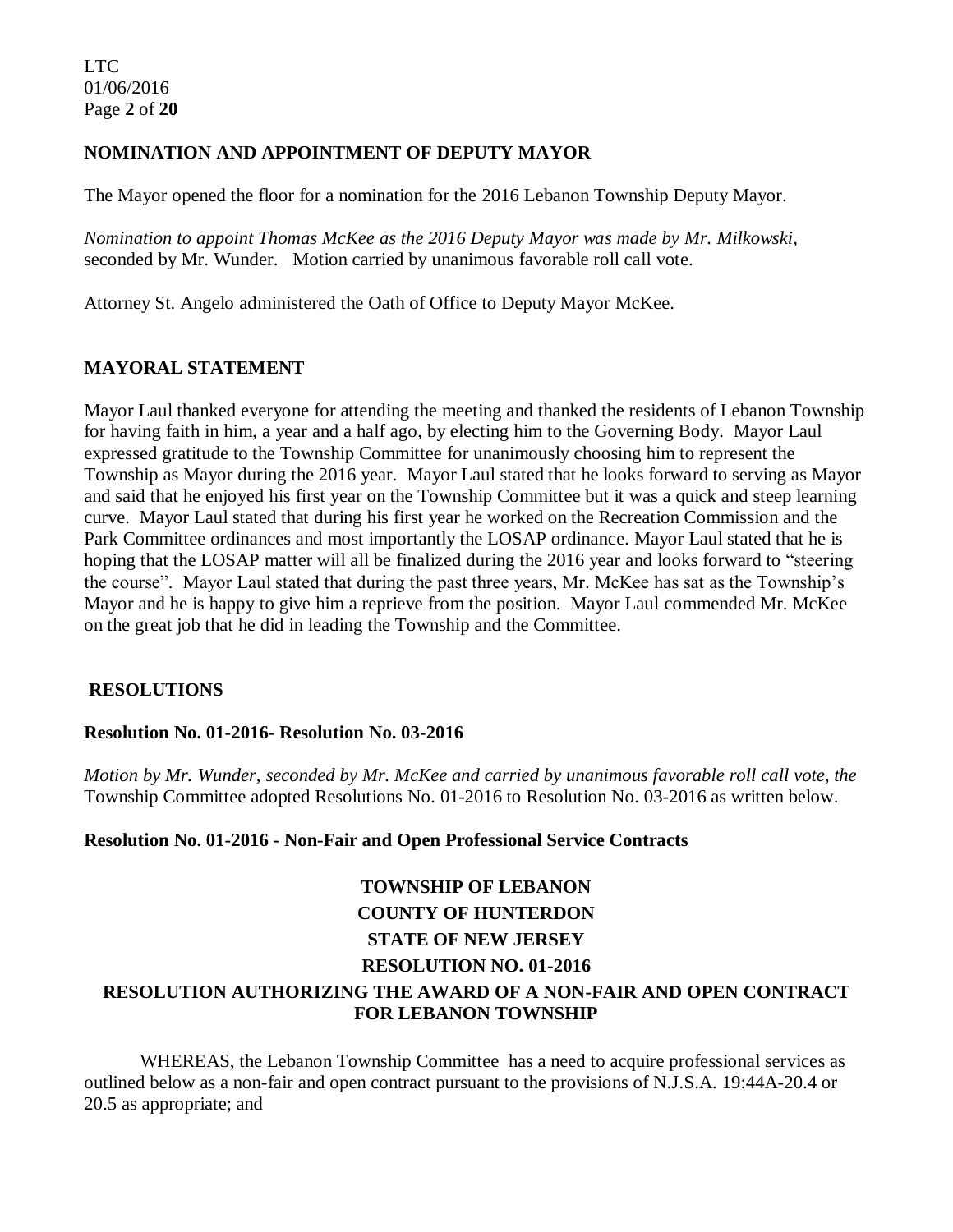# **NOMINATION AND APPOINTMENT OF DEPUTY MAYOR**

The Mayor opened the floor for a nomination for the 2016 Lebanon Township Deputy Mayor.

*Nomination to appoint Thomas McKee as the 2016 Deputy Mayor was made by Mr. Milkowski,*  seconded by Mr. Wunder. Motion carried by unanimous favorable roll call vote.

Attorney St. Angelo administered the Oath of Office to Deputy Mayor McKee.

# **MAYORAL STATEMENT**

Mayor Laul thanked everyone for attending the meeting and thanked the residents of Lebanon Township for having faith in him, a year and a half ago, by electing him to the Governing Body. Mayor Laul expressed gratitude to the Township Committee for unanimously choosing him to represent the Township as Mayor during the 2016 year. Mayor Laul stated that he looks forward to serving as Mayor and said that he enjoyed his first year on the Township Committee but it was a quick and steep learning curve. Mayor Laul stated that during his first year he worked on the Recreation Commission and the Park Committee ordinances and most importantly the LOSAP ordinance. Mayor Laul stated that he is hoping that the LOSAP matter will all be finalized during the 2016 year and looks forward to "steering the course". Mayor Laul stated that during the past three years, Mr. McKee has sat as the Township's Mayor and he is happy to give him a reprieve from the position. Mayor Laul commended Mr. McKee on the great job that he did in leading the Township and the Committee.

# **RESOLUTIONS**

#### **Resolution No. 01-2016- Resolution No. 03-2016**

*Motion by Mr. Wunder, seconded by Mr. McKee and carried by unanimous favorable roll call vote, the* Township Committee adopted Resolutions No. 01-2016 to Resolution No. 03-2016 as written below.

#### **Resolution No. 01-2016 - Non-Fair and Open Professional Service Contracts**

# **TOWNSHIP OF LEBANON COUNTY OF HUNTERDON STATE OF NEW JERSEY RESOLUTION NO. 01-2016**

# **RESOLUTION AUTHORIZING THE AWARD OF A NON-FAIR AND OPEN CONTRACT FOR LEBANON TOWNSHIP**

WHEREAS, the Lebanon Township Committee has a need to acquire professional services as outlined below as a non-fair and open contract pursuant to the provisions of N.J.S.A. 19:44A-20.4 or 20.5 as appropriate; and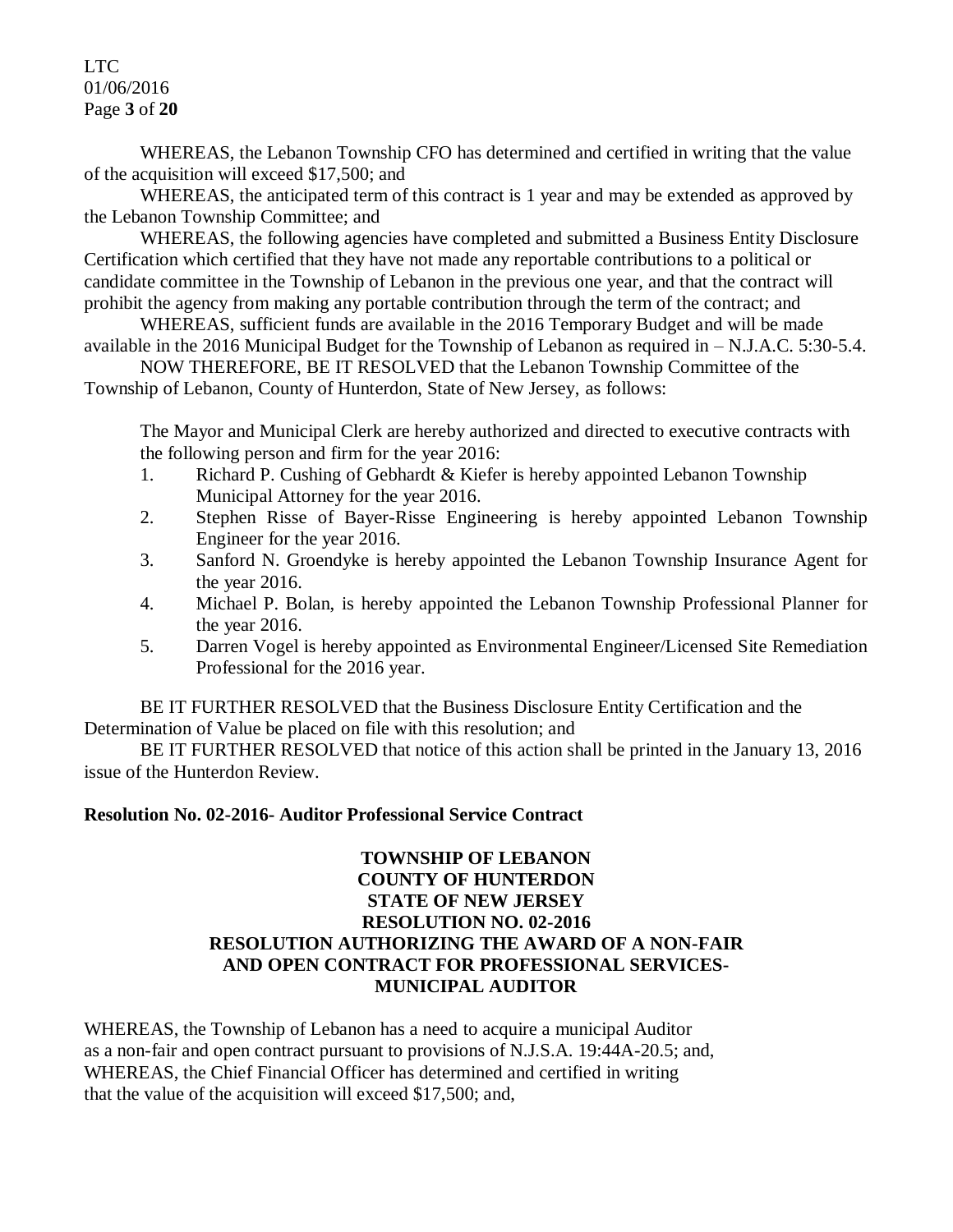LTC 01/06/2016 Page **3** of **20**

WHEREAS, the Lebanon Township CFO has determined and certified in writing that the value of the acquisition will exceed \$17,500; and

WHEREAS, the anticipated term of this contract is 1 year and may be extended as approved by the Lebanon Township Committee; and

WHEREAS, the following agencies have completed and submitted a Business Entity Disclosure Certification which certified that they have not made any reportable contributions to a political or candidate committee in the Township of Lebanon in the previous one year, and that the contract will prohibit the agency from making any portable contribution through the term of the contract; and

WHEREAS, sufficient funds are available in the 2016 Temporary Budget and will be made available in the 2016 Municipal Budget for the Township of Lebanon as required in – N.J.A.C. 5:30-5.4.

NOW THEREFORE, BE IT RESOLVED that the Lebanon Township Committee of the Township of Lebanon, County of Hunterdon, State of New Jersey, as follows:

The Mayor and Municipal Clerk are hereby authorized and directed to executive contracts with the following person and firm for the year 2016:

- 1. Richard P. Cushing of Gebhardt & Kiefer is hereby appointed Lebanon Township Municipal Attorney for the year 2016.
- 2. Stephen Risse of Bayer-Risse Engineering is hereby appointed Lebanon Township Engineer for the year 2016.
- 3. Sanford N. Groendyke is hereby appointed the Lebanon Township Insurance Agent for the year 2016.
- 4. Michael P. Bolan, is hereby appointed the Lebanon Township Professional Planner for the year 2016.
- 5. Darren Vogel is hereby appointed as Environmental Engineer/Licensed Site Remediation Professional for the 2016 year.

BE IT FURTHER RESOLVED that the Business Disclosure Entity Certification and the Determination of Value be placed on file with this resolution; and

BE IT FURTHER RESOLVED that notice of this action shall be printed in the January 13, 2016 issue of the Hunterdon Review.

# **Resolution No. 02-2016- Auditor Professional Service Contract**

# **TOWNSHIP OF LEBANON COUNTY OF HUNTERDON STATE OF NEW JERSEY RESOLUTION NO. 02-2016 RESOLUTION AUTHORIZING THE AWARD OF A NON-FAIR AND OPEN CONTRACT FOR PROFESSIONAL SERVICES-MUNICIPAL AUDITOR**

WHEREAS, the Township of Lebanon has a need to acquire a municipal Auditor as a non-fair and open contract pursuant to provisions of N.J.S.A. 19:44A-20.5; and, WHEREAS, the Chief Financial Officer has determined and certified in writing that the value of the acquisition will exceed \$17,500; and,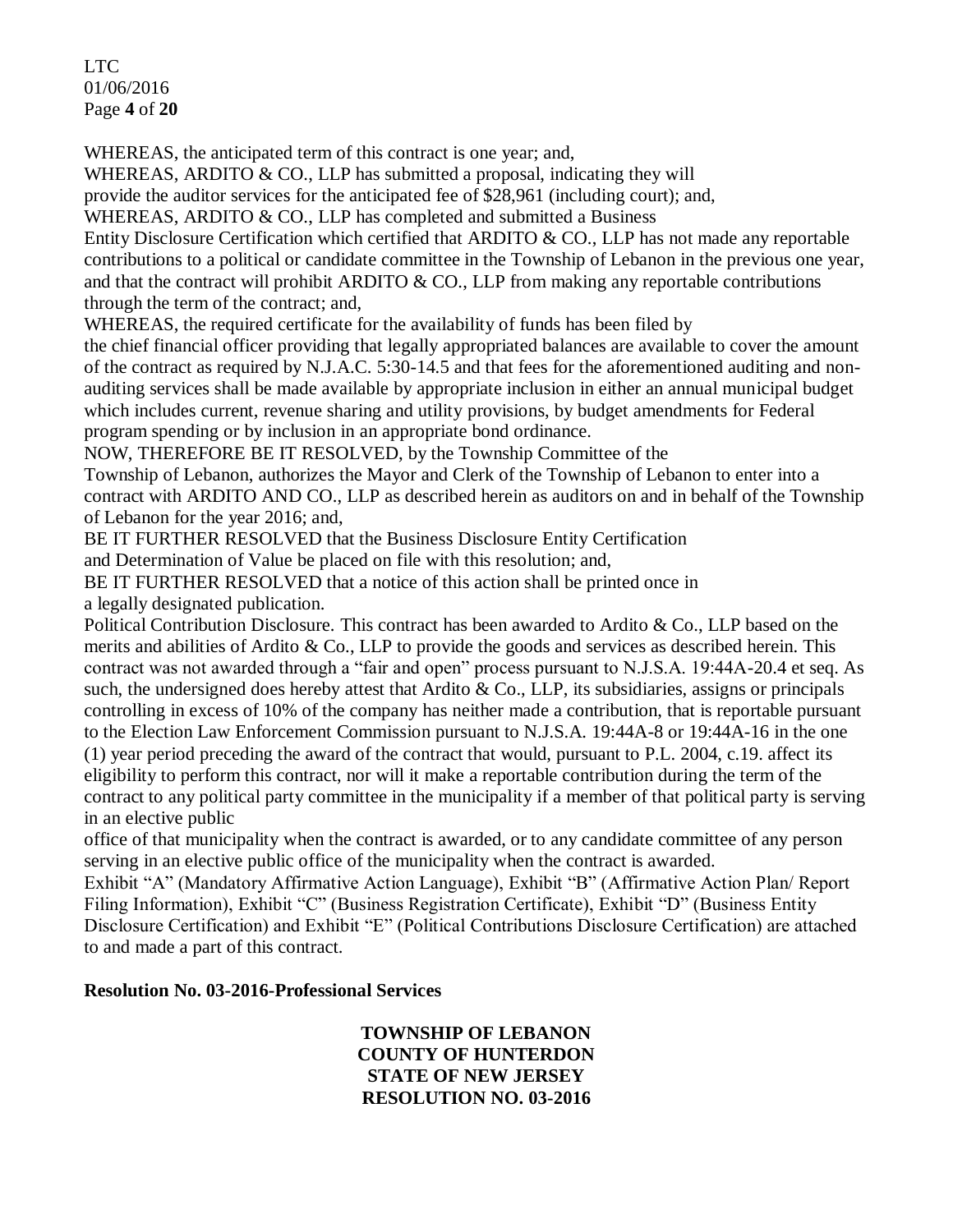LTC 01/06/2016 Page **4** of **20**

WHEREAS, the anticipated term of this contract is one year; and,

WHEREAS, ARDITO & CO., LLP has submitted a proposal, indicating they will

provide the auditor services for the anticipated fee of \$28,961 (including court); and,

WHEREAS, ARDITO & CO., LLP has completed and submitted a Business

Entity Disclosure Certification which certified that ARDITO & CO., LLP has not made any reportable contributions to a political or candidate committee in the Township of Lebanon in the previous one year, and that the contract will prohibit ARDITO  $\&$  CO., LLP from making any reportable contributions through the term of the contract; and,

WHEREAS, the required certificate for the availability of funds has been filed by

the chief financial officer providing that legally appropriated balances are available to cover the amount of the contract as required by N.J.A.C. 5:30-14.5 and that fees for the aforementioned auditing and nonauditing services shall be made available by appropriate inclusion in either an annual municipal budget which includes current, revenue sharing and utility provisions, by budget amendments for Federal program spending or by inclusion in an appropriate bond ordinance.

NOW, THEREFORE BE IT RESOLVED, by the Township Committee of the

Township of Lebanon, authorizes the Mayor and Clerk of the Township of Lebanon to enter into a contract with ARDITO AND CO., LLP as described herein as auditors on and in behalf of the Township of Lebanon for the year 2016; and,

BE IT FURTHER RESOLVED that the Business Disclosure Entity Certification

and Determination of Value be placed on file with this resolution; and,

BE IT FURTHER RESOLVED that a notice of this action shall be printed once in a legally designated publication.

Political Contribution Disclosure. This contract has been awarded to Ardito & Co., LLP based on the merits and abilities of Ardito & Co., LLP to provide the goods and services as described herein. This contract was not awarded through a "fair and open" process pursuant to N.J.S.A. 19:44A-20.4 et seq. As such, the undersigned does hereby attest that Ardito & Co., LLP, its subsidiaries, assigns or principals controlling in excess of 10% of the company has neither made a contribution, that is reportable pursuant to the Election Law Enforcement Commission pursuant to N.J.S.A. 19:44A-8 or 19:44A-16 in the one (1) year period preceding the award of the contract that would, pursuant to P.L. 2004, c.19. affect its eligibility to perform this contract, nor will it make a reportable contribution during the term of the contract to any political party committee in the municipality if a member of that political party is serving in an elective public

office of that municipality when the contract is awarded, or to any candidate committee of any person serving in an elective public office of the municipality when the contract is awarded.

Exhibit "A" (Mandatory Affirmative Action Language), Exhibit "B" (Affirmative Action Plan/ Report Filing Information), Exhibit "C" (Business Registration Certificate), Exhibit "D" (Business Entity Disclosure Certification) and Exhibit "E" (Political Contributions Disclosure Certification) are attached to and made a part of this contract.

# **Resolution No. 03-2016-Professional Services**

**TOWNSHIP OF LEBANON COUNTY OF HUNTERDON STATE OF NEW JERSEY RESOLUTION NO. 03-2016**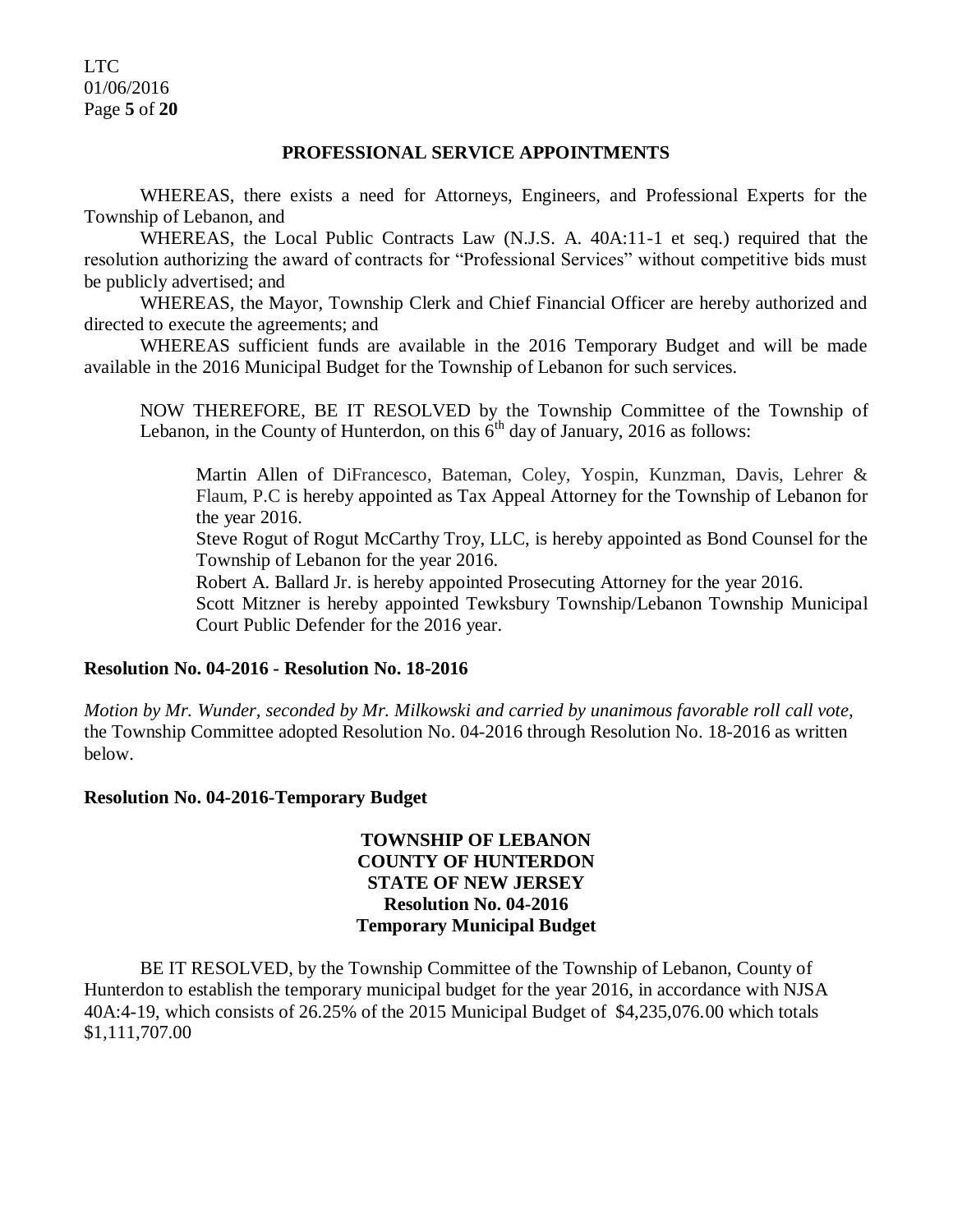LTC 01/06/2016 Page **5** of **20**

#### **PROFESSIONAL SERVICE APPOINTMENTS**

WHEREAS, there exists a need for Attorneys, Engineers, and Professional Experts for the Township of Lebanon, and

WHEREAS, the Local Public Contracts Law (N.J.S. A. 40A:11-1 et seq.) required that the resolution authorizing the award of contracts for "Professional Services" without competitive bids must be publicly advertised; and

WHEREAS, the Mayor, Township Clerk and Chief Financial Officer are hereby authorized and directed to execute the agreements; and

WHEREAS sufficient funds are available in the 2016 Temporary Budget and will be made available in the 2016 Municipal Budget for the Township of Lebanon for such services.

NOW THEREFORE, BE IT RESOLVED by the Township Committee of the Township of Lebanon, in the County of Hunterdon, on this  $6<sup>th</sup>$  day of January, 2016 as follows:

Martin Allen of DiFrancesco, Bateman, Coley, Yospin, Kunzman, Davis, Lehrer & Flaum, P.C is hereby appointed as Tax Appeal Attorney for the Township of Lebanon for the year 2016.

Steve Rogut of Rogut McCarthy Troy, LLC, is hereby appointed as Bond Counsel for the Township of Lebanon for the year 2016.

Robert A. Ballard Jr. is hereby appointed Prosecuting Attorney for the year 2016.

Scott Mitzner is hereby appointed Tewksbury Township/Lebanon Township Municipal Court Public Defender for the 2016 year.

#### **Resolution No. 04-2016 - Resolution No. 18-2016**

*Motion by Mr. Wunder, seconded by Mr. Milkowski and carried by unanimous favorable roll call vote,* the Township Committee adopted Resolution No. 04-2016 through Resolution No. 18-2016 as written below.

#### **Resolution No. 04-2016-Temporary Budget**

# **TOWNSHIP OF LEBANON COUNTY OF HUNTERDON STATE OF NEW JERSEY Resolution No. 04-2016 Temporary Municipal Budget**

BE IT RESOLVED, by the Township Committee of the Township of Lebanon, County of Hunterdon to establish the temporary municipal budget for the year 2016, in accordance with NJSA 40A:4-19, which consists of 26.25% of the 2015 Municipal Budget of \$4,235,076.00 which totals \$1,111,707.00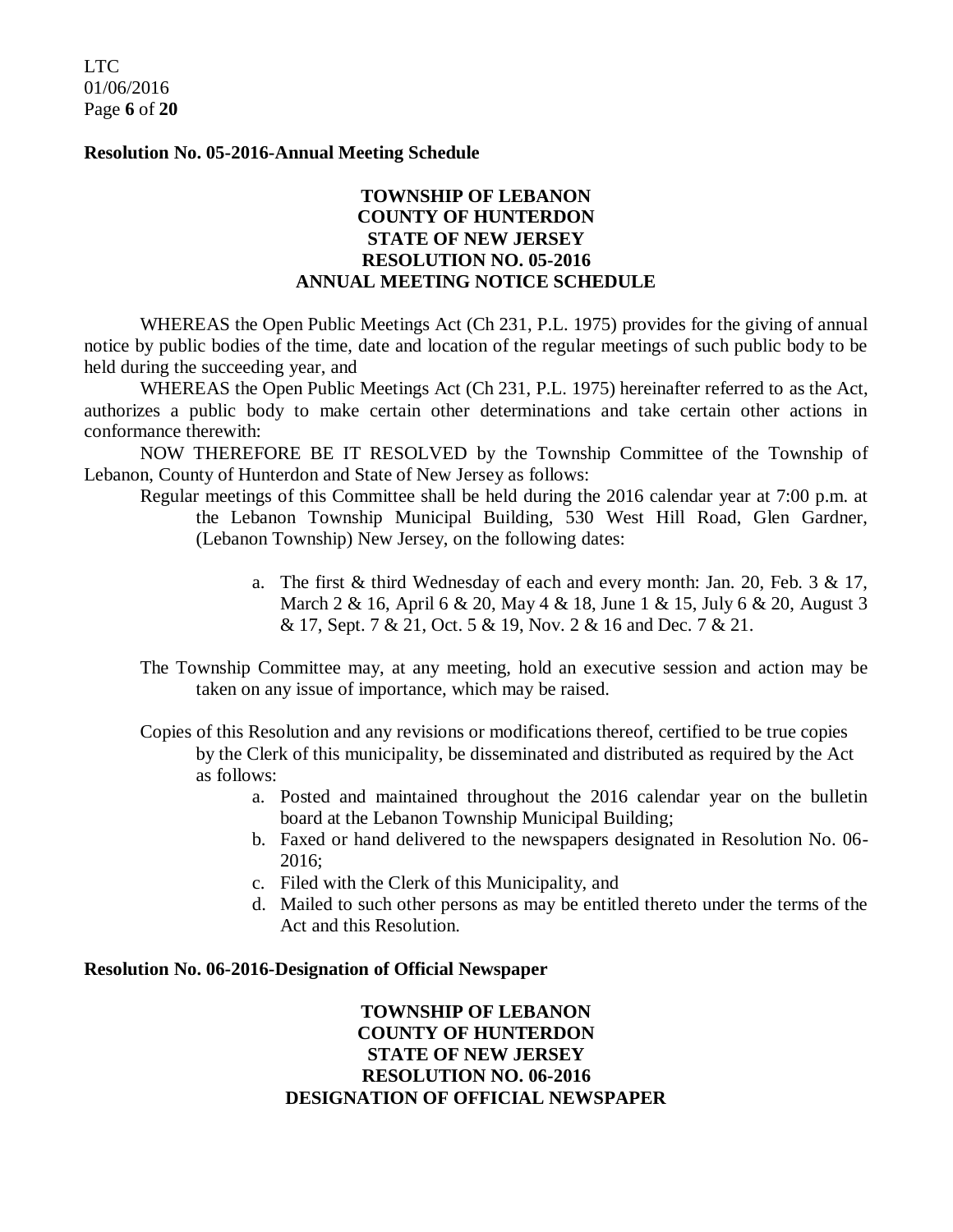LTC 01/06/2016 Page **6** of **20**

**Resolution No. 05-2016-Annual Meeting Schedule**

# **TOWNSHIP OF LEBANON COUNTY OF HUNTERDON STATE OF NEW JERSEY RESOLUTION NO. 05-2016 ANNUAL MEETING NOTICE SCHEDULE**

WHEREAS the Open Public Meetings Act (Ch 231, P.L. 1975) provides for the giving of annual notice by public bodies of the time, date and location of the regular meetings of such public body to be held during the succeeding year, and

WHEREAS the Open Public Meetings Act (Ch 231, P.L. 1975) hereinafter referred to as the Act, authorizes a public body to make certain other determinations and take certain other actions in conformance therewith:

NOW THEREFORE BE IT RESOLVED by the Township Committee of the Township of Lebanon, County of Hunterdon and State of New Jersey as follows:

- Regular meetings of this Committee shall be held during the 2016 calendar year at 7:00 p.m. at the Lebanon Township Municipal Building, 530 West Hill Road, Glen Gardner, (Lebanon Township) New Jersey, on the following dates:
	- a. The first & third Wednesday of each and every month: Jan. 20, Feb. 3 & 17, March 2 & 16, April 6 & 20, May 4 & 18, June 1 & 15, July 6 & 20, August 3 & 17, Sept. 7 & 21, Oct. 5 & 19, Nov. 2 & 16 and Dec. 7 & 21.
- The Township Committee may, at any meeting, hold an executive session and action may be taken on any issue of importance, which may be raised.
- Copies of this Resolution and any revisions or modifications thereof, certified to be true copies by the Clerk of this municipality, be disseminated and distributed as required by the Act as follows:
	- a. Posted and maintained throughout the 2016 calendar year on the bulletin board at the Lebanon Township Municipal Building;
	- b. Faxed or hand delivered to the newspapers designated in Resolution No. 06- 2016;
	- c. Filed with the Clerk of this Municipality, and
	- d. Mailed to such other persons as may be entitled thereto under the terms of the Act and this Resolution.

#### **Resolution No. 06-2016-Designation of Official Newspaper**

**TOWNSHIP OF LEBANON COUNTY OF HUNTERDON STATE OF NEW JERSEY RESOLUTION NO. 06-2016 DESIGNATION OF OFFICIAL NEWSPAPER**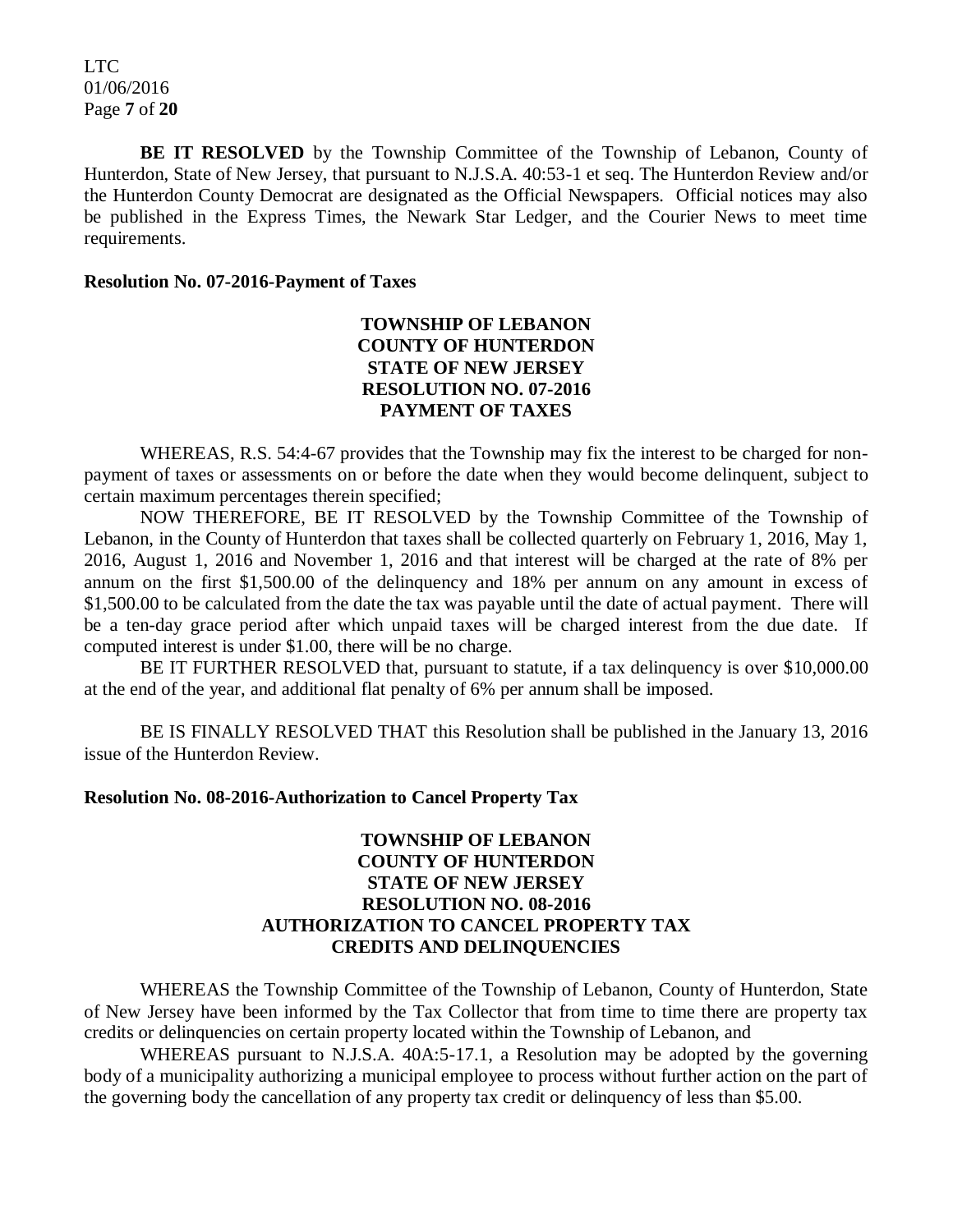LTC 01/06/2016 Page **7** of **20**

**BE IT RESOLVED** by the Township Committee of the Township of Lebanon, County of Hunterdon, State of New Jersey, that pursuant to N.J.S.A. 40:53-1 et seq. The Hunterdon Review and/or the Hunterdon County Democrat are designated as the Official Newspapers. Official notices may also be published in the Express Times, the Newark Star Ledger, and the Courier News to meet time requirements.

#### **Resolution No. 07-2016-Payment of Taxes**

# **TOWNSHIP OF LEBANON COUNTY OF HUNTERDON STATE OF NEW JERSEY RESOLUTION NO. 07-2016 PAYMENT OF TAXES**

WHEREAS, R.S. 54:4-67 provides that the Township may fix the interest to be charged for nonpayment of taxes or assessments on or before the date when they would become delinquent, subject to certain maximum percentages therein specified;

NOW THEREFORE, BE IT RESOLVED by the Township Committee of the Township of Lebanon, in the County of Hunterdon that taxes shall be collected quarterly on February 1, 2016, May 1, 2016, August 1, 2016 and November 1, 2016 and that interest will be charged at the rate of 8% per annum on the first \$1,500.00 of the delinquency and 18% per annum on any amount in excess of \$1,500.00 to be calculated from the date the tax was payable until the date of actual payment. There will be a ten-day grace period after which unpaid taxes will be charged interest from the due date. If computed interest is under \$1.00, there will be no charge.

BE IT FURTHER RESOLVED that, pursuant to statute, if a tax delinguency is over \$10,000.00 at the end of the year, and additional flat penalty of 6% per annum shall be imposed.

BE IS FINALLY RESOLVED THAT this Resolution shall be published in the January 13, 2016 issue of the Hunterdon Review.

#### **Resolution No. 08-2016-Authorization to Cancel Property Tax**

# **TOWNSHIP OF LEBANON COUNTY OF HUNTERDON STATE OF NEW JERSEY RESOLUTION NO. 08-2016 AUTHORIZATION TO CANCEL PROPERTY TAX CREDITS AND DELINQUENCIES**

WHEREAS the Township Committee of the Township of Lebanon, County of Hunterdon, State of New Jersey have been informed by the Tax Collector that from time to time there are property tax credits or delinquencies on certain property located within the Township of Lebanon, and

WHEREAS pursuant to N.J.S.A. 40A:5-17.1, a Resolution may be adopted by the governing body of a municipality authorizing a municipal employee to process without further action on the part of the governing body the cancellation of any property tax credit or delinquency of less than \$5.00.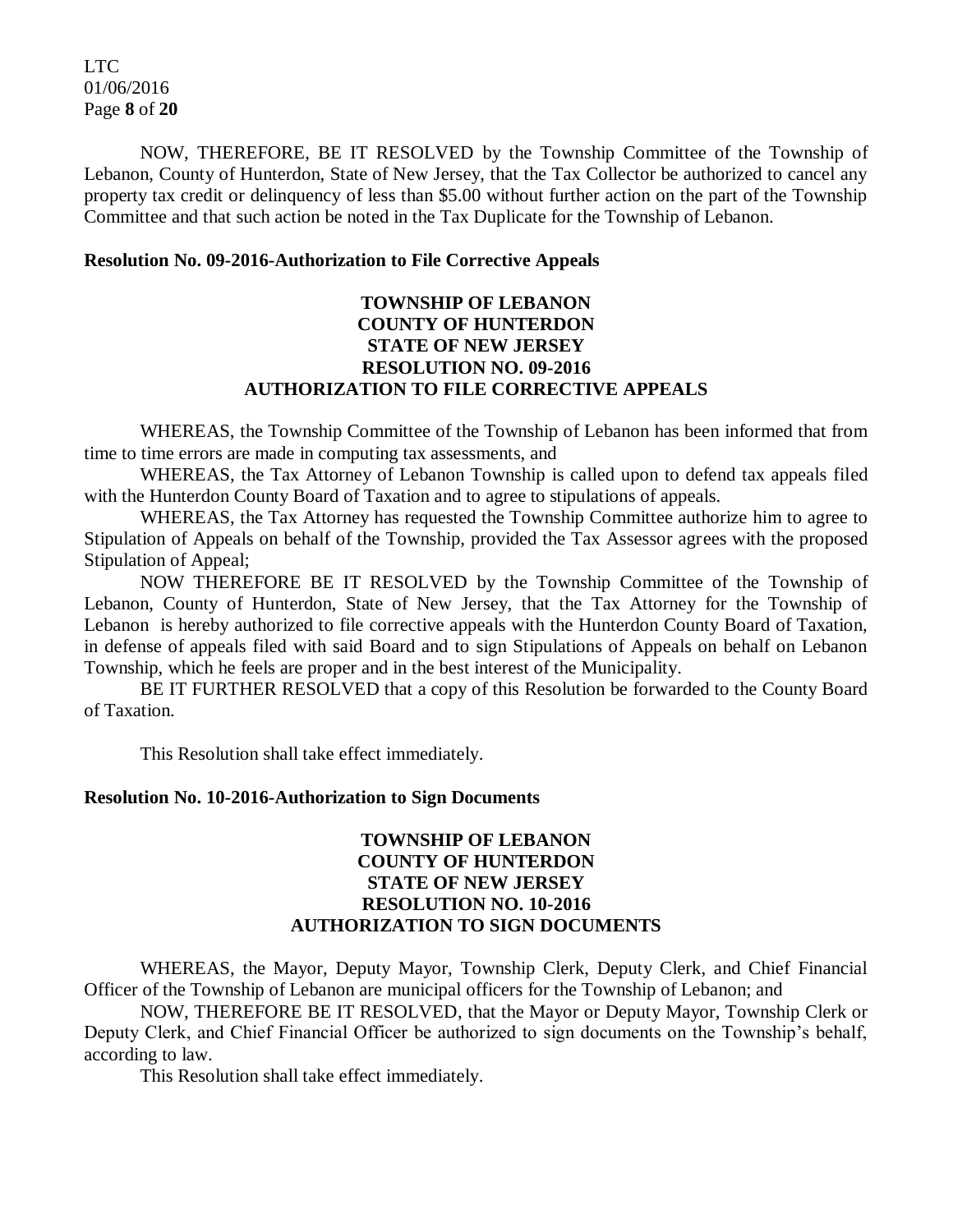LTC 01/06/2016 Page **8** of **20**

NOW, THEREFORE, BE IT RESOLVED by the Township Committee of the Township of Lebanon, County of Hunterdon, State of New Jersey, that the Tax Collector be authorized to cancel any property tax credit or delinquency of less than \$5.00 without further action on the part of the Township Committee and that such action be noted in the Tax Duplicate for the Township of Lebanon.

#### **Resolution No. 09-2016-Authorization to File Corrective Appeals**

# **TOWNSHIP OF LEBANON COUNTY OF HUNTERDON STATE OF NEW JERSEY RESOLUTION NO. 09-2016 AUTHORIZATION TO FILE CORRECTIVE APPEALS**

WHEREAS, the Township Committee of the Township of Lebanon has been informed that from time to time errors are made in computing tax assessments, and

WHEREAS, the Tax Attorney of Lebanon Township is called upon to defend tax appeals filed with the Hunterdon County Board of Taxation and to agree to stipulations of appeals.

WHEREAS, the Tax Attorney has requested the Township Committee authorize him to agree to Stipulation of Appeals on behalf of the Township, provided the Tax Assessor agrees with the proposed Stipulation of Appeal;

NOW THEREFORE BE IT RESOLVED by the Township Committee of the Township of Lebanon, County of Hunterdon, State of New Jersey, that the Tax Attorney for the Township of Lebanon is hereby authorized to file corrective appeals with the Hunterdon County Board of Taxation, in defense of appeals filed with said Board and to sign Stipulations of Appeals on behalf on Lebanon Township, which he feels are proper and in the best interest of the Municipality.

BE IT FURTHER RESOLVED that a copy of this Resolution be forwarded to the County Board of Taxation.

This Resolution shall take effect immediately.

#### **Resolution No. 10-2016-Authorization to Sign Documents**

# **TOWNSHIP OF LEBANON COUNTY OF HUNTERDON STATE OF NEW JERSEY RESOLUTION NO. 10-2016 AUTHORIZATION TO SIGN DOCUMENTS**

WHEREAS, the Mayor, Deputy Mayor, Township Clerk, Deputy Clerk, and Chief Financial Officer of the Township of Lebanon are municipal officers for the Township of Lebanon; and

NOW, THEREFORE BE IT RESOLVED, that the Mayor or Deputy Mayor, Township Clerk or Deputy Clerk, and Chief Financial Officer be authorized to sign documents on the Township's behalf, according to law.

This Resolution shall take effect immediately.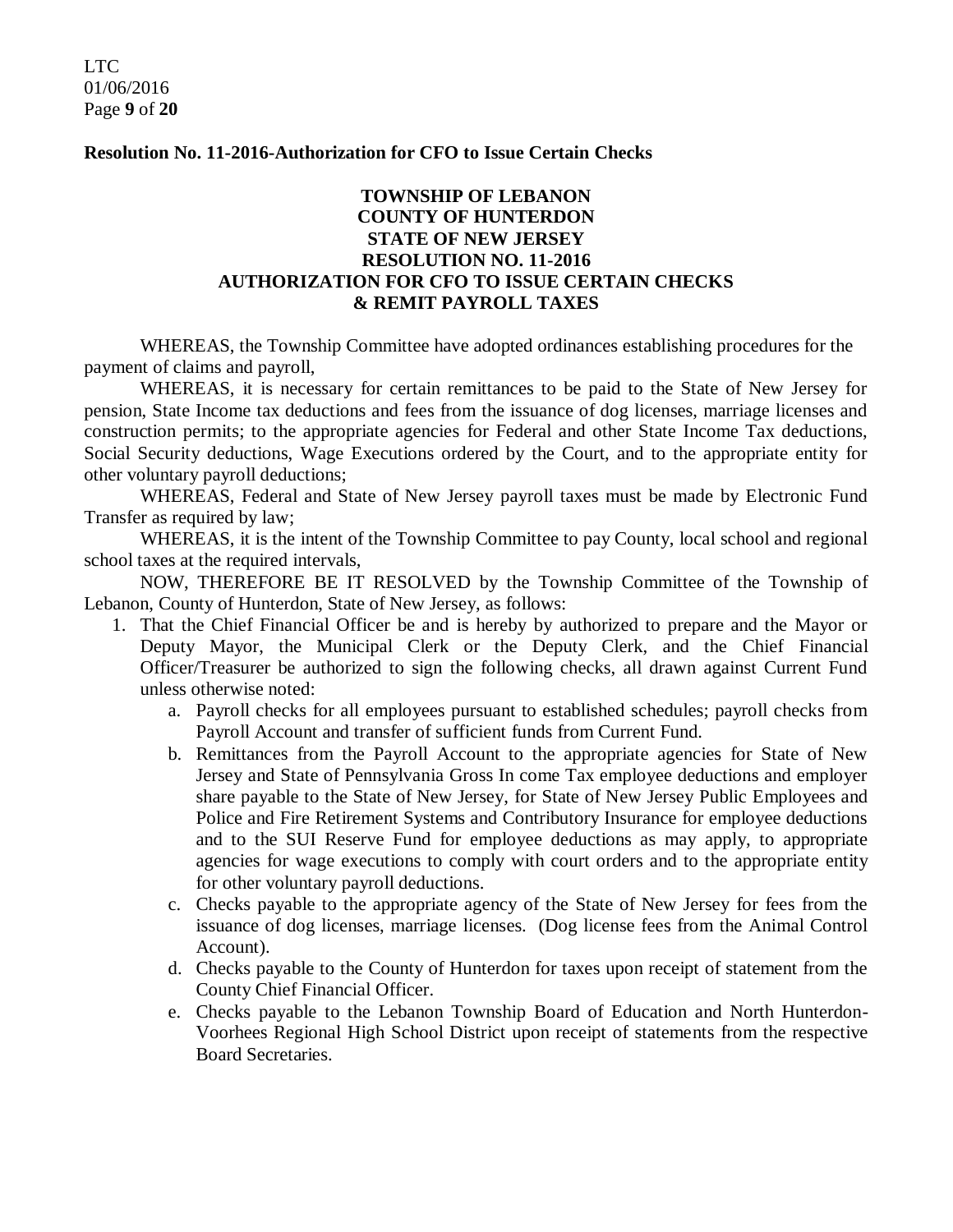LTC 01/06/2016 Page **9** of **20**

#### **Resolution No. 11-2016-Authorization for CFO to Issue Certain Checks**

# **TOWNSHIP OF LEBANON COUNTY OF HUNTERDON STATE OF NEW JERSEY RESOLUTION NO. 11-2016 AUTHORIZATION FOR CFO TO ISSUE CERTAIN CHECKS & REMIT PAYROLL TAXES**

WHEREAS, the Township Committee have adopted ordinances establishing procedures for the payment of claims and payroll,

WHEREAS, it is necessary for certain remittances to be paid to the State of New Jersey for pension, State Income tax deductions and fees from the issuance of dog licenses, marriage licenses and construction permits; to the appropriate agencies for Federal and other State Income Tax deductions, Social Security deductions, Wage Executions ordered by the Court, and to the appropriate entity for other voluntary payroll deductions;

WHEREAS, Federal and State of New Jersey payroll taxes must be made by Electronic Fund Transfer as required by law;

WHEREAS, it is the intent of the Township Committee to pay County, local school and regional school taxes at the required intervals,

NOW, THEREFORE BE IT RESOLVED by the Township Committee of the Township of Lebanon, County of Hunterdon, State of New Jersey, as follows:

- 1. That the Chief Financial Officer be and is hereby by authorized to prepare and the Mayor or Deputy Mayor, the Municipal Clerk or the Deputy Clerk, and the Chief Financial Officer/Treasurer be authorized to sign the following checks, all drawn against Current Fund unless otherwise noted:
	- a. Payroll checks for all employees pursuant to established schedules; payroll checks from Payroll Account and transfer of sufficient funds from Current Fund.
	- b. Remittances from the Payroll Account to the appropriate agencies for State of New Jersey and State of Pennsylvania Gross In come Tax employee deductions and employer share payable to the State of New Jersey, for State of New Jersey Public Employees and Police and Fire Retirement Systems and Contributory Insurance for employee deductions and to the SUI Reserve Fund for employee deductions as may apply, to appropriate agencies for wage executions to comply with court orders and to the appropriate entity for other voluntary payroll deductions.
	- c. Checks payable to the appropriate agency of the State of New Jersey for fees from the issuance of dog licenses, marriage licenses. (Dog license fees from the Animal Control Account).
	- d. Checks payable to the County of Hunterdon for taxes upon receipt of statement from the County Chief Financial Officer.
	- e. Checks payable to the Lebanon Township Board of Education and North Hunterdon-Voorhees Regional High School District upon receipt of statements from the respective Board Secretaries.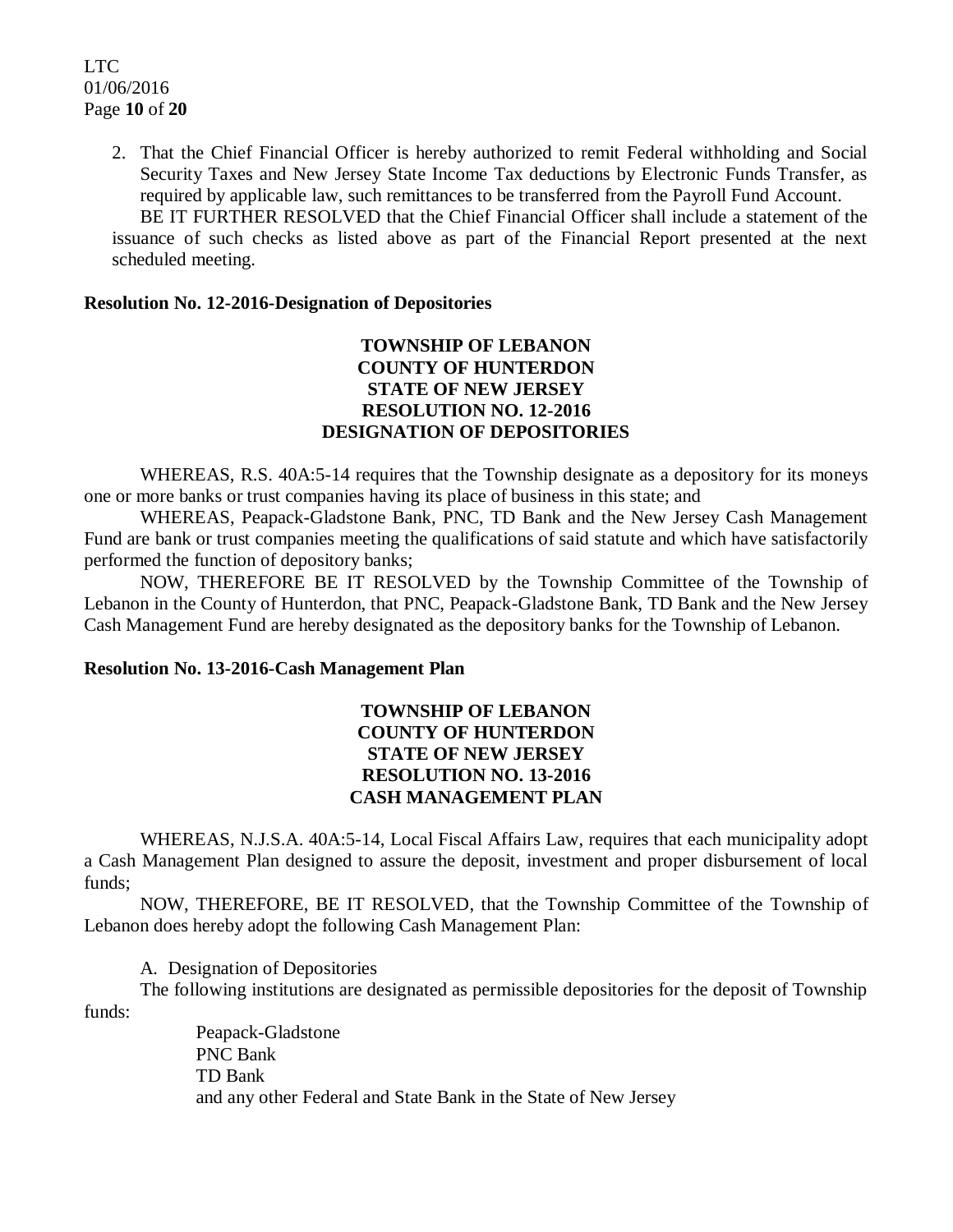2. That the Chief Financial Officer is hereby authorized to remit Federal withholding and Social Security Taxes and New Jersey State Income Tax deductions by Electronic Funds Transfer, as required by applicable law, such remittances to be transferred from the Payroll Fund Account.

BE IT FURTHER RESOLVED that the Chief Financial Officer shall include a statement of the issuance of such checks as listed above as part of the Financial Report presented at the next scheduled meeting.

#### **Resolution No. 12-2016-Designation of Depositories**

# **TOWNSHIP OF LEBANON COUNTY OF HUNTERDON STATE OF NEW JERSEY RESOLUTION NO. 12-2016 DESIGNATION OF DEPOSITORIES**

WHEREAS, R.S. 40A:5-14 requires that the Township designate as a depository for its moneys one or more banks or trust companies having its place of business in this state; and

WHEREAS, Peapack-Gladstone Bank, PNC, TD Bank and the New Jersey Cash Management Fund are bank or trust companies meeting the qualifications of said statute and which have satisfactorily performed the function of depository banks;

NOW, THEREFORE BE IT RESOLVED by the Township Committee of the Township of Lebanon in the County of Hunterdon, that PNC, Peapack-Gladstone Bank, TD Bank and the New Jersey Cash Management Fund are hereby designated as the depository banks for the Township of Lebanon.

#### **Resolution No. 13-2016-Cash Management Plan**

# **TOWNSHIP OF LEBANON COUNTY OF HUNTERDON STATE OF NEW JERSEY RESOLUTION NO. 13-2016 CASH MANAGEMENT PLAN**

WHEREAS, N.J.S.A. 40A:5-14, Local Fiscal Affairs Law, requires that each municipality adopt a Cash Management Plan designed to assure the deposit, investment and proper disbursement of local funds;

NOW, THEREFORE, BE IT RESOLVED, that the Township Committee of the Township of Lebanon does hereby adopt the following Cash Management Plan:

A. Designation of Depositories

The following institutions are designated as permissible depositories for the deposit of Township funds:

> Peapack-Gladstone PNC Bank TD Bank and any other Federal and State Bank in the State of New Jersey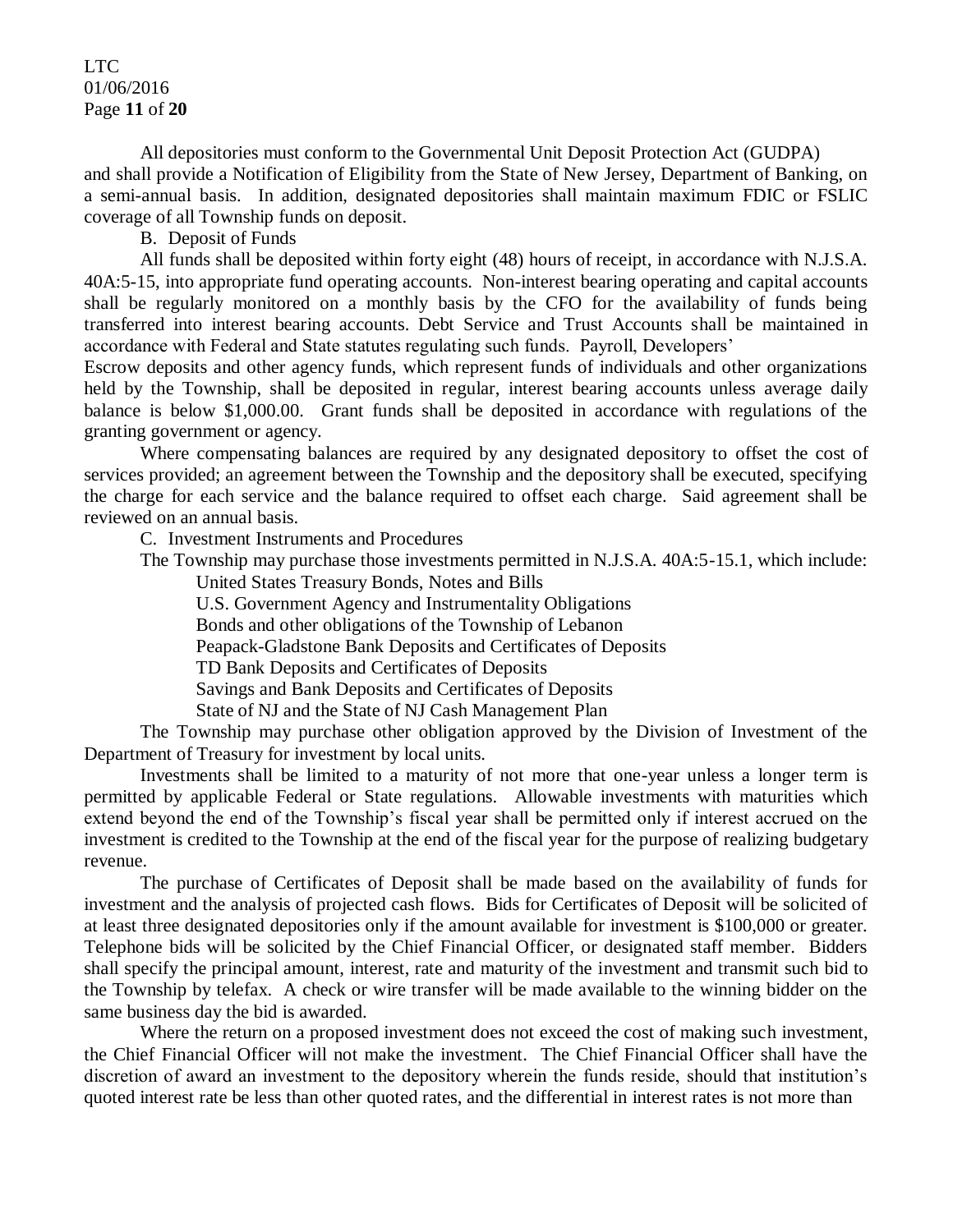### LTC 01/06/2016 Page **11** of **20**

All depositories must conform to the Governmental Unit Deposit Protection Act (GUDPA) and shall provide a Notification of Eligibility from the State of New Jersey, Department of Banking, on a semi-annual basis. In addition, designated depositories shall maintain maximum FDIC or FSLIC coverage of all Township funds on deposit.

B. Deposit of Funds

All funds shall be deposited within forty eight (48) hours of receipt, in accordance with N.J.S.A. 40A:5-15, into appropriate fund operating accounts. Non-interest bearing operating and capital accounts shall be regularly monitored on a monthly basis by the CFO for the availability of funds being transferred into interest bearing accounts. Debt Service and Trust Accounts shall be maintained in accordance with Federal and State statutes regulating such funds. Payroll, Developers'

Escrow deposits and other agency funds, which represent funds of individuals and other organizations held by the Township, shall be deposited in regular, interest bearing accounts unless average daily balance is below \$1,000.00. Grant funds shall be deposited in accordance with regulations of the granting government or agency.

Where compensating balances are required by any designated depository to offset the cost of services provided; an agreement between the Township and the depository shall be executed, specifying the charge for each service and the balance required to offset each charge. Said agreement shall be reviewed on an annual basis.

C. Investment Instruments and Procedures

The Township may purchase those investments permitted in N.J.S.A. 40A:5-15.1, which include: United States Treasury Bonds, Notes and Bills

U.S. Government Agency and Instrumentality Obligations Bonds and other obligations of the Township of Lebanon Peapack-Gladstone Bank Deposits and Certificates of Deposits TD Bank Deposits and Certificates of Deposits Savings and Bank Deposits and Certificates of Deposits State of NJ and the State of NJ Cash Management Plan

The Township may purchase other obligation approved by the Division of Investment of the Department of Treasury for investment by local units.

Investments shall be limited to a maturity of not more that one-year unless a longer term is permitted by applicable Federal or State regulations. Allowable investments with maturities which extend beyond the end of the Township's fiscal year shall be permitted only if interest accrued on the investment is credited to the Township at the end of the fiscal year for the purpose of realizing budgetary revenue.

The purchase of Certificates of Deposit shall be made based on the availability of funds for investment and the analysis of projected cash flows. Bids for Certificates of Deposit will be solicited of at least three designated depositories only if the amount available for investment is \$100,000 or greater. Telephone bids will be solicited by the Chief Financial Officer, or designated staff member. Bidders shall specify the principal amount, interest, rate and maturity of the investment and transmit such bid to the Township by telefax. A check or wire transfer will be made available to the winning bidder on the same business day the bid is awarded.

Where the return on a proposed investment does not exceed the cost of making such investment, the Chief Financial Officer will not make the investment. The Chief Financial Officer shall have the discretion of award an investment to the depository wherein the funds reside, should that institution's quoted interest rate be less than other quoted rates, and the differential in interest rates is not more than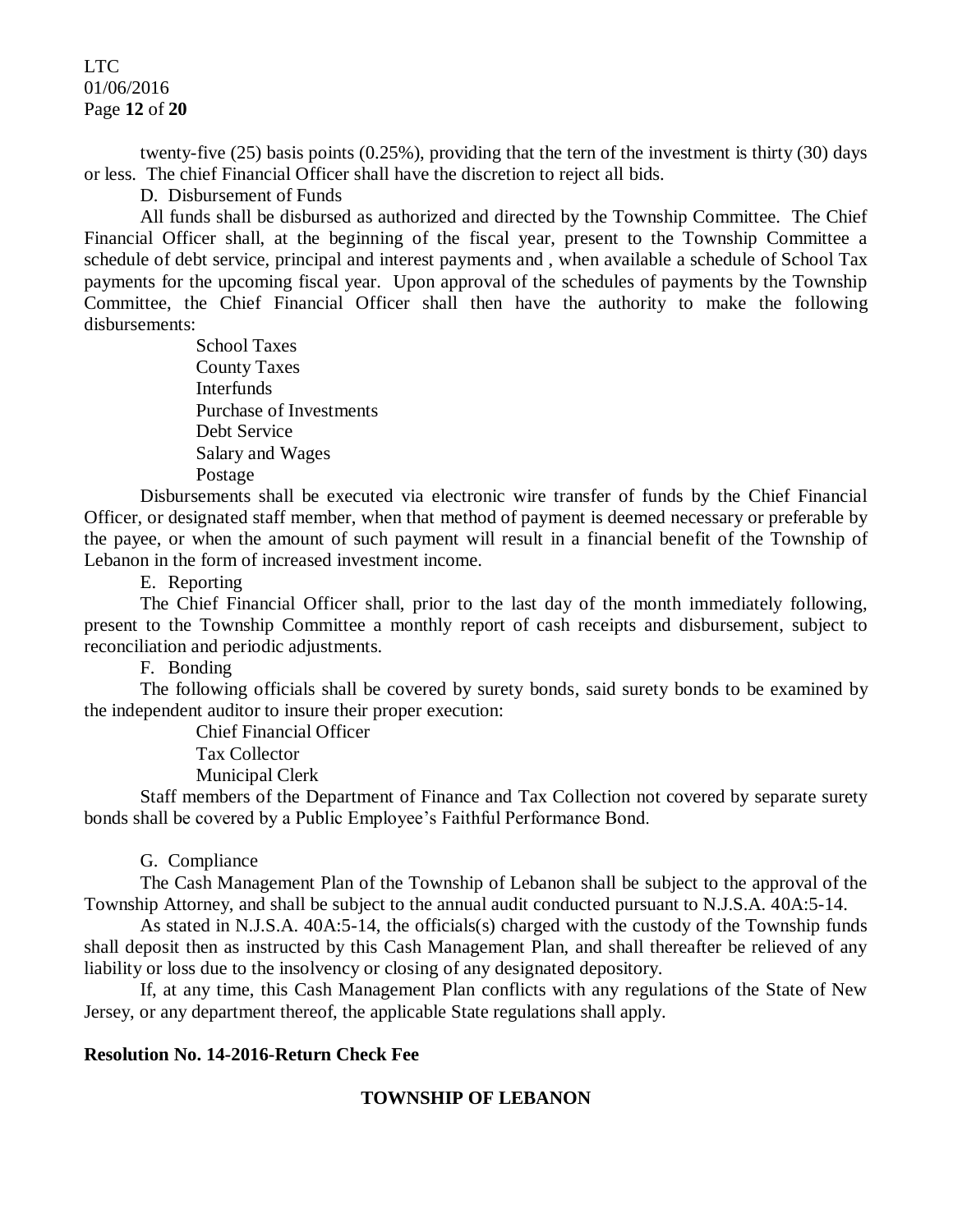### LTC. 01/06/2016 Page **12** of **20**

twenty-five (25) basis points (0.25%), providing that the tern of the investment is thirty (30) days or less. The chief Financial Officer shall have the discretion to reject all bids.

D. Disbursement of Funds

All funds shall be disbursed as authorized and directed by the Township Committee. The Chief Financial Officer shall, at the beginning of the fiscal year, present to the Township Committee a schedule of debt service, principal and interest payments and , when available a schedule of School Tax payments for the upcoming fiscal year. Upon approval of the schedules of payments by the Township Committee, the Chief Financial Officer shall then have the authority to make the following disbursements:

> School Taxes County Taxes **Interfunds** Purchase of Investments Debt Service Salary and Wages Postage

Disbursements shall be executed via electronic wire transfer of funds by the Chief Financial Officer, or designated staff member, when that method of payment is deemed necessary or preferable by the payee, or when the amount of such payment will result in a financial benefit of the Township of Lebanon in the form of increased investment income.

E. Reporting

The Chief Financial Officer shall, prior to the last day of the month immediately following, present to the Township Committee a monthly report of cash receipts and disbursement, subject to reconciliation and periodic adjustments.

F. Bonding

The following officials shall be covered by surety bonds, said surety bonds to be examined by the independent auditor to insure their proper execution:

> Chief Financial Officer Tax Collector Municipal Clerk

Staff members of the Department of Finance and Tax Collection not covered by separate surety bonds shall be covered by a Public Employee's Faithful Performance Bond.

#### G. Compliance

The Cash Management Plan of the Township of Lebanon shall be subject to the approval of the Township Attorney, and shall be subject to the annual audit conducted pursuant to N.J.S.A. 40A:5-14.

As stated in N.J.S.A. 40A:5-14, the officials(s) charged with the custody of the Township funds shall deposit then as instructed by this Cash Management Plan, and shall thereafter be relieved of any liability or loss due to the insolvency or closing of any designated depository.

If, at any time, this Cash Management Plan conflicts with any regulations of the State of New Jersey, or any department thereof, the applicable State regulations shall apply.

#### **Resolution No. 14-2016-Return Check Fee**

#### **TOWNSHIP OF LEBANON**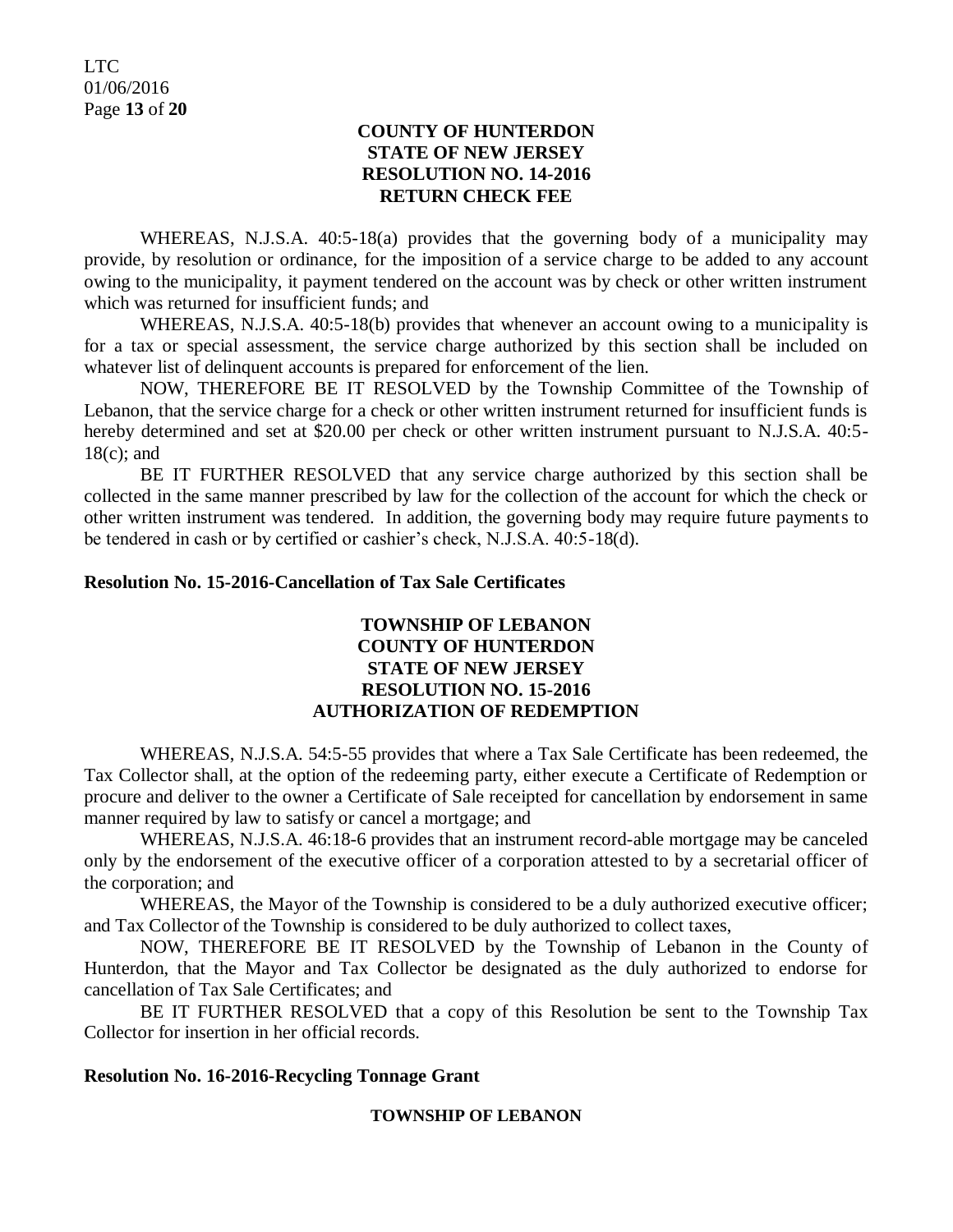# **COUNTY OF HUNTERDON STATE OF NEW JERSEY RESOLUTION NO. 14-2016 RETURN CHECK FEE**

WHEREAS, N.J.S.A. 40:5-18(a) provides that the governing body of a municipality may provide, by resolution or ordinance, for the imposition of a service charge to be added to any account owing to the municipality, it payment tendered on the account was by check or other written instrument which was returned for insufficient funds; and

WHEREAS, N.J.S.A. 40:5-18(b) provides that whenever an account owing to a municipality is for a tax or special assessment, the service charge authorized by this section shall be included on whatever list of delinquent accounts is prepared for enforcement of the lien.

NOW, THEREFORE BE IT RESOLVED by the Township Committee of the Township of Lebanon, that the service charge for a check or other written instrument returned for insufficient funds is hereby determined and set at \$20.00 per check or other written instrument pursuant to N.J.S.A. 40:5-18(c); and

BE IT FURTHER RESOLVED that any service charge authorized by this section shall be collected in the same manner prescribed by law for the collection of the account for which the check or other written instrument was tendered. In addition, the governing body may require future payments to be tendered in cash or by certified or cashier's check, N.J.S.A. 40:5-18(d).

# **Resolution No. 15-2016-Cancellation of Tax Sale Certificates**

# **TOWNSHIP OF LEBANON COUNTY OF HUNTERDON STATE OF NEW JERSEY RESOLUTION NO. 15-2016 AUTHORIZATION OF REDEMPTION**

WHEREAS, N.J.S.A. 54:5-55 provides that where a Tax Sale Certificate has been redeemed, the Tax Collector shall, at the option of the redeeming party, either execute a Certificate of Redemption or procure and deliver to the owner a Certificate of Sale receipted for cancellation by endorsement in same manner required by law to satisfy or cancel a mortgage; and

WHEREAS, N.J.S.A. 46:18-6 provides that an instrument record-able mortgage may be canceled only by the endorsement of the executive officer of a corporation attested to by a secretarial officer of the corporation; and

WHEREAS, the Mayor of the Township is considered to be a duly authorized executive officer; and Tax Collector of the Township is considered to be duly authorized to collect taxes,

NOW, THEREFORE BE IT RESOLVED by the Township of Lebanon in the County of Hunterdon, that the Mayor and Tax Collector be designated as the duly authorized to endorse for cancellation of Tax Sale Certificates; and

BE IT FURTHER RESOLVED that a copy of this Resolution be sent to the Township Tax Collector for insertion in her official records.

#### **Resolution No. 16-2016-Recycling Tonnage Grant**

#### **TOWNSHIP OF LEBANON**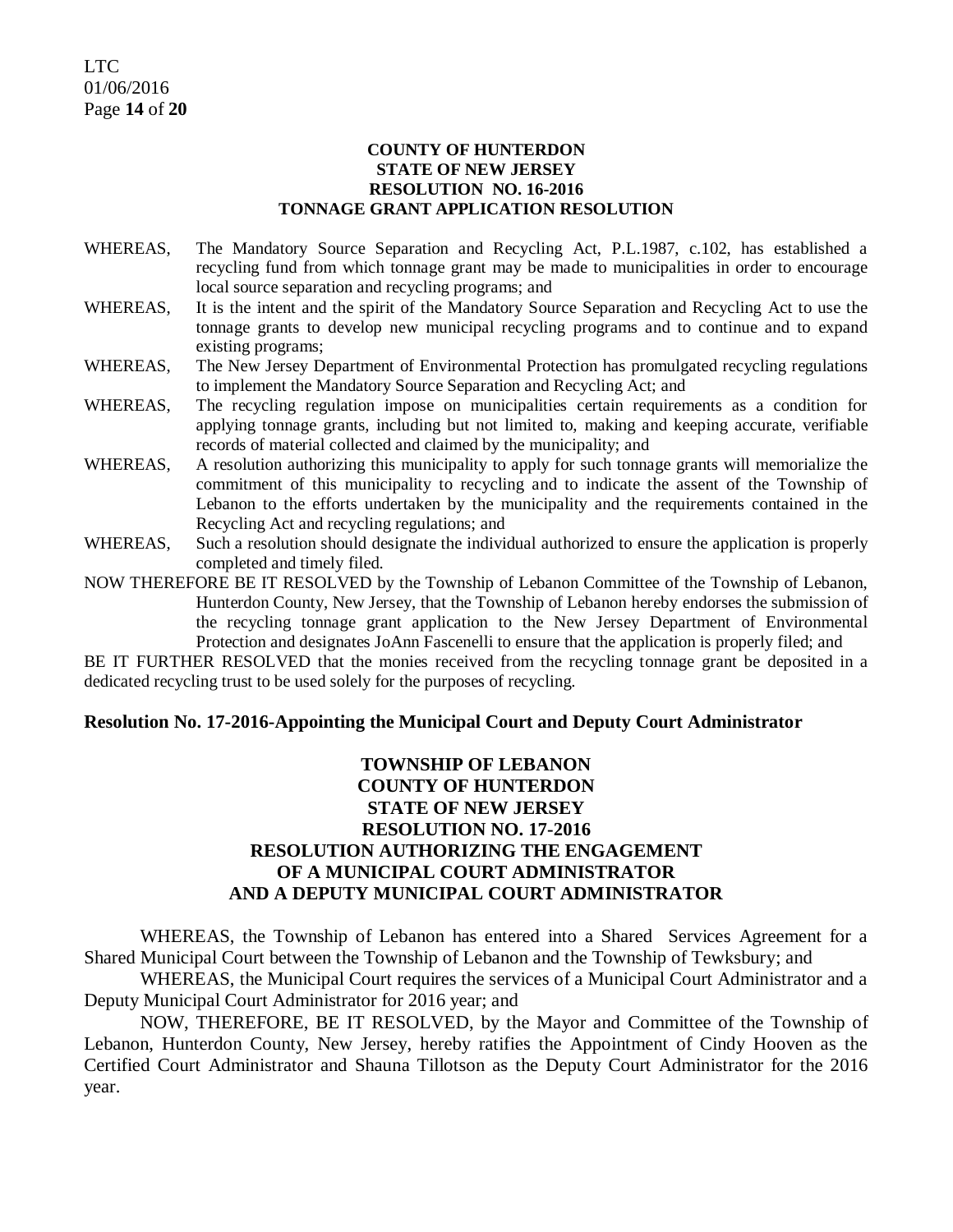#### **COUNTY OF HUNTERDON STATE OF NEW JERSEY RESOLUTION NO. 16-2016 TONNAGE GRANT APPLICATION RESOLUTION**

- WHEREAS, The Mandatory Source Separation and Recycling Act, P.L.1987, c.102, has established a recycling fund from which tonnage grant may be made to municipalities in order to encourage local source separation and recycling programs; and
- WHEREAS, It is the intent and the spirit of the Mandatory Source Separation and Recycling Act to use the tonnage grants to develop new municipal recycling programs and to continue and to expand existing programs;
- WHEREAS, The New Jersey Department of Environmental Protection has promulgated recycling regulations to implement the Mandatory Source Separation and Recycling Act; and
- WHEREAS, The recycling regulation impose on municipalities certain requirements as a condition for applying tonnage grants, including but not limited to, making and keeping accurate, verifiable records of material collected and claimed by the municipality; and
- WHEREAS, A resolution authorizing this municipality to apply for such tonnage grants will memorialize the commitment of this municipality to recycling and to indicate the assent of the Township of Lebanon to the efforts undertaken by the municipality and the requirements contained in the Recycling Act and recycling regulations; and
- WHEREAS, Such a resolution should designate the individual authorized to ensure the application is properly completed and timely filed.

NOW THEREFORE BE IT RESOLVED by the Township of Lebanon Committee of the Township of Lebanon, Hunterdon County, New Jersey, that the Township of Lebanon hereby endorses the submission of the recycling tonnage grant application to the New Jersey Department of Environmental Protection and designates JoAnn Fascenelli to ensure that the application is properly filed; and

BE IT FURTHER RESOLVED that the monies received from the recycling tonnage grant be deposited in a dedicated recycling trust to be used solely for the purposes of recycling.

#### **Resolution No. 17-2016-Appointing the Municipal Court and Deputy Court Administrator**

# **TOWNSHIP OF LEBANON COUNTY OF HUNTERDON STATE OF NEW JERSEY RESOLUTION NO. 17-2016 RESOLUTION AUTHORIZING THE ENGAGEMENT OF A MUNICIPAL COURT ADMINISTRATOR AND A DEPUTY MUNICIPAL COURT ADMINISTRATOR**

WHEREAS, the Township of Lebanon has entered into a Shared Services Agreement for a Shared Municipal Court between the Township of Lebanon and the Township of Tewksbury; and

WHEREAS, the Municipal Court requires the services of a Municipal Court Administrator and a Deputy Municipal Court Administrator for 2016 year; and

NOW, THEREFORE, BE IT RESOLVED, by the Mayor and Committee of the Township of Lebanon, Hunterdon County, New Jersey, hereby ratifies the Appointment of Cindy Hooven as the Certified Court Administrator and Shauna Tillotson as the Deputy Court Administrator for the 2016 year.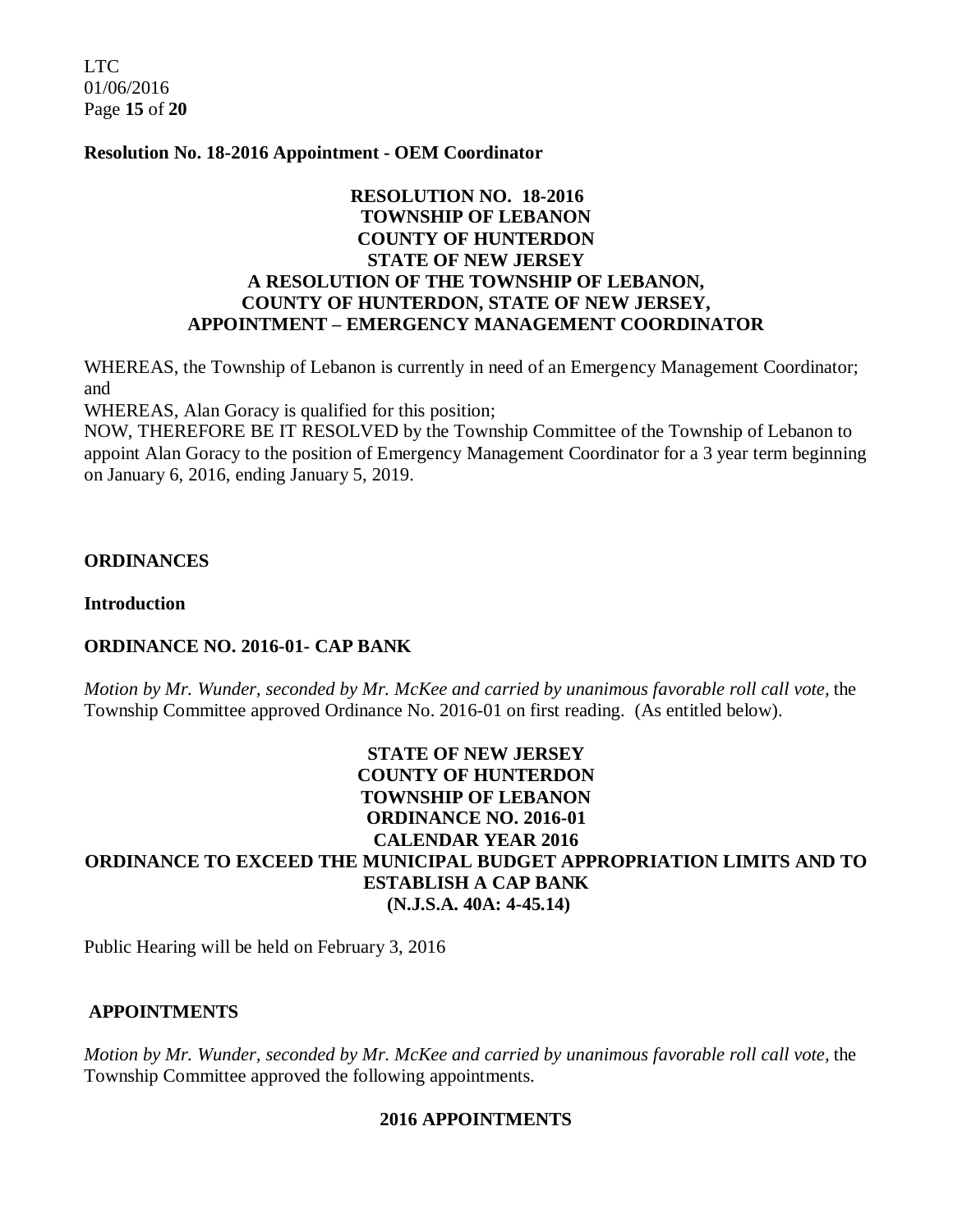LTC. 01/06/2016 Page **15** of **20**

#### **Resolution No. 18-2016 Appointment - OEM Coordinator**

# **RESOLUTION NO. 18-2016 TOWNSHIP OF LEBANON COUNTY OF HUNTERDON STATE OF NEW JERSEY A RESOLUTION OF THE TOWNSHIP OF LEBANON, COUNTY OF HUNTERDON, STATE OF NEW JERSEY, APPOINTMENT – EMERGENCY MANAGEMENT COORDINATOR**

WHEREAS, the Township of Lebanon is currently in need of an Emergency Management Coordinator; and

WHEREAS, Alan Goracy is qualified for this position;

NOW, THEREFORE BE IT RESOLVED by the Township Committee of the Township of Lebanon to appoint Alan Goracy to the position of Emergency Management Coordinator for a 3 year term beginning on January 6, 2016, ending January 5, 2019.

#### **ORDINANCES**

**Introduction**

#### **ORDINANCE NO. 2016-01- CAP BANK**

*Motion by Mr. Wunder, seconded by Mr. McKee and carried by unanimous favorable roll call vote,* the Township Committee approved Ordinance No. 2016-01 on first reading. (As entitled below).

# **STATE OF NEW JERSEY COUNTY OF HUNTERDON TOWNSHIP OF LEBANON ORDINANCE NO. 2016-01 CALENDAR YEAR 2016 ORDINANCE TO EXCEED THE MUNICIPAL BUDGET APPROPRIATION LIMITS AND TO ESTABLISH A CAP BANK (N.J.S.A. 40A: 4-45.14)**

Public Hearing will be held on February 3, 2016

#### **APPOINTMENTS**

*Motion by Mr. Wunder, seconded by Mr. McKee and carried by unanimous favorable roll call vote,* the Township Committee approved the following appointments.

#### **2016 APPOINTMENTS**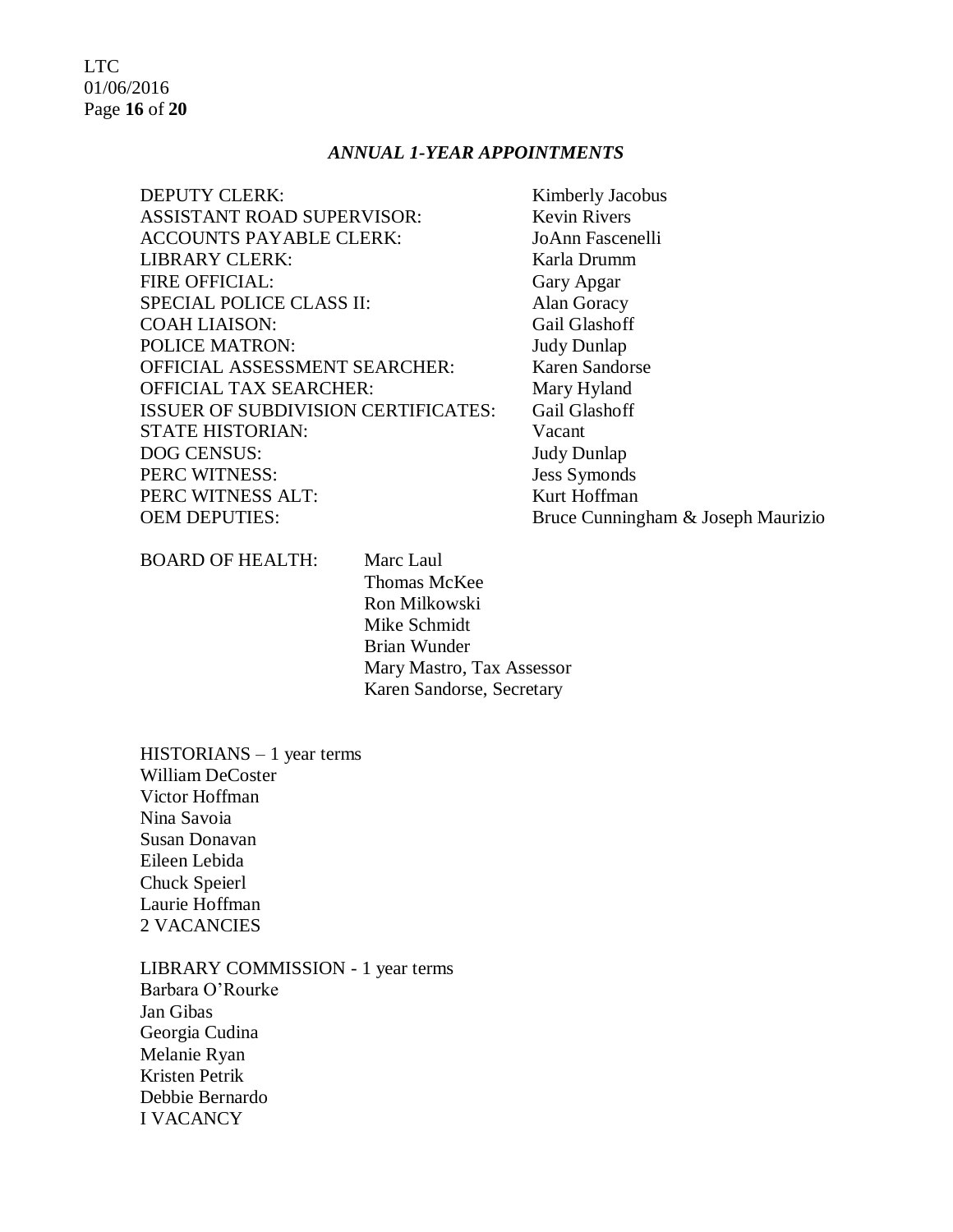# LTC 01/06/2016 Page **16** of **20**

#### *ANNUAL 1-YEAR APPOINTMENTS*

| <b>DEPUTY CLERK:</b>                       | Kimberly Jacobus    |
|--------------------------------------------|---------------------|
| <b>ASSISTANT ROAD SUPERVISOR:</b>          | <b>Kevin Rivers</b> |
| <b>ACCOUNTS PAYABLE CLERK:</b>             | JoAnn Fascenelli    |
| <b>LIBRARY CLERK:</b>                      | Karla Drumm         |
| <b>FIRE OFFICIAL:</b>                      | Gary Apgar          |
| <b>SPECIAL POLICE CLASS II:</b>            | Alan Goracy         |
| <b>COAH LIAISON:</b>                       | Gail Glashoff       |
| <b>POLICE MATRON:</b>                      | <b>Judy Dunlap</b>  |
| <b>OFFICIAL ASSESSMENT SEARCHER:</b>       | Karen Sandorse      |
| <b>OFFICIAL TAX SEARCHER:</b>              | Mary Hyland         |
| <b>ISSUER OF SUBDIVISION CERTIFICATES:</b> | Gail Glashoff       |
| <b>STATE HISTORIAN:</b>                    | Vacant              |
| <b>DOG CENSUS:</b>                         | <b>Judy Dunlap</b>  |
| PERC WITNESS:                              | <b>Jess Symonds</b> |
| PERC WITNESS ALT:                          | Kurt Hoffman        |
| <b>OEM DEPUTIES:</b>                       | Bruce Cunninghar    |
|                                            |                     |

ham & Joseph Maurizio

BOARD OF HEALTH: Marc Laul

Thomas McKee Ron Milkowski Mike Schmidt Brian Wunder Mary Mastro, Tax Assessor Karen Sandorse, Secretary

HISTORIANS – 1 year terms William DeCoster Victor Hoffman Nina Savoia Susan Donavan Eileen Lebida Chuck Speierl Laurie Hoffman 2 VACANCIES

LIBRARY COMMISSION - 1 year terms Barbara O'Rourke Jan Gibas Georgia Cudina Melanie Ryan Kristen Petrik Debbie Bernardo I VACANCY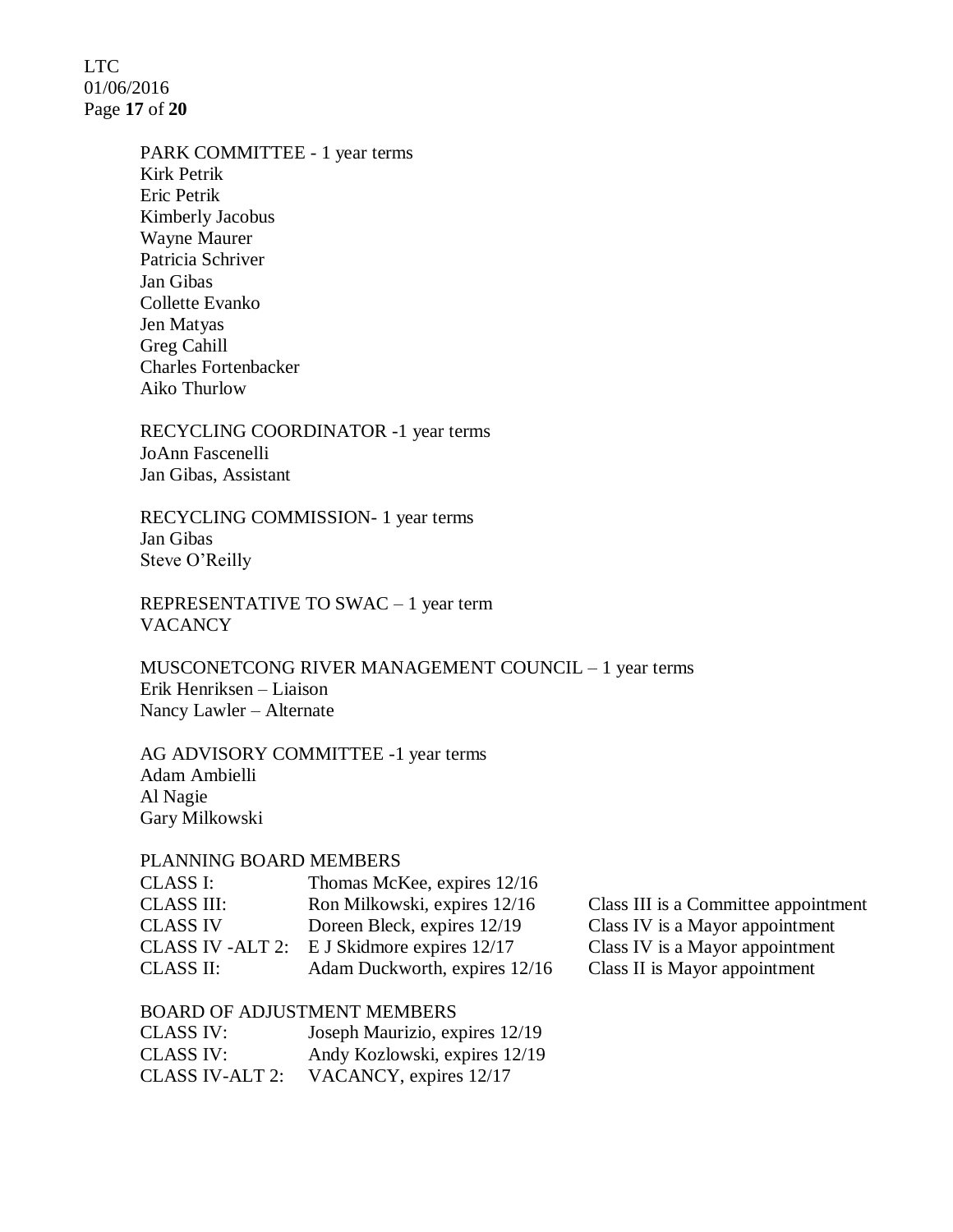LTC 01/06/2016 Page **17** of **20**

> PARK COMMITTEE - 1 year terms Kirk Petrik Eric Petrik Kimberly Jacobus Wayne Maurer Patricia Schriver Jan Gibas Collette Evanko Jen Matyas Greg Cahill Charles Fortenbacker Aiko Thurlow

RECYCLING COORDINATOR -1 year terms JoAnn Fascenelli Jan Gibas, Assistant

RECYCLING COMMISSION- 1 year terms Jan Gibas Steve O'Reilly

REPRESENTATIVE TO SWAC – 1 year term **VACANCY** 

MUSCONETCONG RIVER MANAGEMENT COUNCIL – 1 year terms Erik Henriksen – Liaison Nancy Lawler – Alternate

AG ADVISORY COMMITTEE -1 year terms Adam Ambielli Al Nagie Gary Milkowski

#### PLANNING BOARD MEMBERS

| CLASS I:          | Thomas McKee, expires 12/16   |
|-------------------|-------------------------------|
| <b>CLASS III:</b> | Ron Milkowski, expires 12/16  |
| <b>CLASS IV</b>   | Doreen Bleck, expires 12/19   |
| CLASS IV -ALT 2:  | E J Skidmore expires 12/17    |
| <b>CLASS II:</b>  | Adam Duckworth, expires 12/16 |

Class III is a Committee appointment Class IV is a Mayor appointment Class IV is a Mayor appointment Class II is Mayor appointment

#### BOARD OF ADJUSTMENT MEMBERS

| CLASS IV:       | Joseph Maurizio, expires 12/19 |
|-----------------|--------------------------------|
| CLASS IV:       | Andy Kozlowski, expires 12/19  |
| CLASS IV-ALT 2: | VACANCY, expires 12/17         |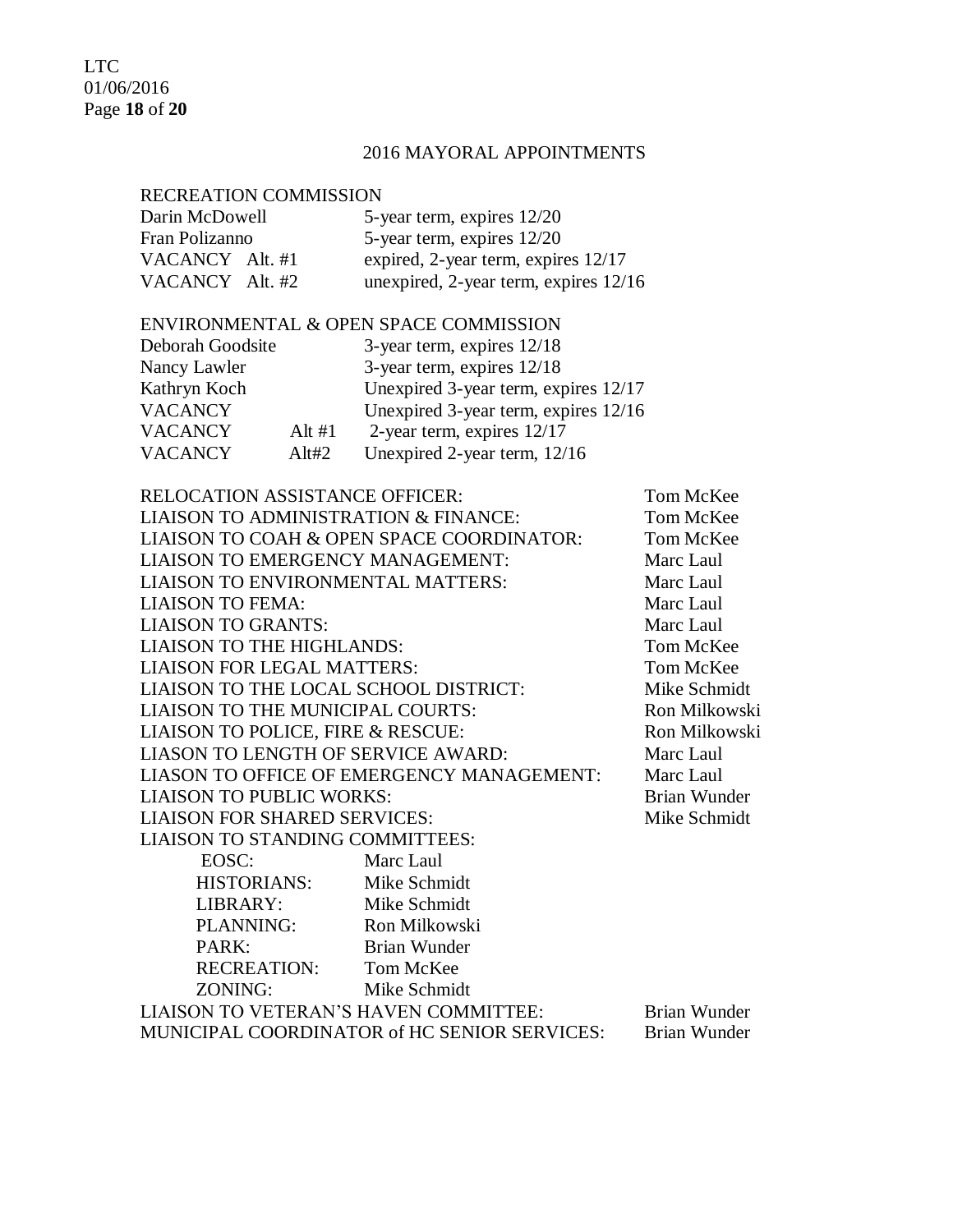LTC 01/06/2016 Page **18** of **20**

# 2016 MAYORAL APPOINTMENTS

# RECREATION COMMISSION

| Darin McDowell  | 5-year term, expires 12/20            |
|-----------------|---------------------------------------|
| Fran Polizanno  | 5-year term, expires 12/20            |
| VACANCY Alt. #1 | expired, 2-year term, expires 12/17   |
| VACANCY Alt. #2 | unexpired, 2-year term, expires 12/16 |

# ENVIRONMENTAL & OPEN SPACE COMMISSION

| Deborah Goodsite |          | 3-year term, expires $12/18$         |
|------------------|----------|--------------------------------------|
| Nancy Lawler     |          | 3-year term, expires $12/18$         |
| Kathryn Koch     |          | Unexpired 3-year term, expires 12/17 |
| <b>VACANCY</b>   |          | Unexpired 3-year term, expires 12/16 |
| <b>VACANCY</b>   | Alt $#1$ | 2-year term, expires $12/17$         |
| <b>VACANCY</b>   | A lt#2   | Unexpired 2-year term, 12/16         |
|                  |          |                                      |

| <b>RELOCATION ASSISTANCE OFFICER:</b>    |                                              | Tom McKee     |
|------------------------------------------|----------------------------------------------|---------------|
| LIAISON TO ADMINISTRATION & FINANCE:     |                                              | Tom McKee     |
|                                          | LIAISON TO COAH & OPEN SPACE COORDINATOR:    | Tom McKee     |
| LIAISON TO EMERGENCY MANAGEMENT:         |                                              | Marc Laul     |
| <b>LIAISON TO ENVIRONMENTAL MATTERS:</b> |                                              | Marc Laul     |
| <b>LIAISON TO FEMA:</b>                  |                                              | Marc Laul     |
| <b>LIAISON TO GRANTS:</b>                |                                              | Marc Laul     |
| <b>LIAISON TO THE HIGHLANDS:</b>         |                                              | Tom McKee     |
| <b>LIAISON FOR LEGAL MATTERS:</b>        |                                              | Tom McKee     |
| LIAISON TO THE LOCAL SCHOOL DISTRICT:    |                                              | Mike Schmidt  |
| LIAISON TO THE MUNICIPAL COURTS:         |                                              | Ron Milkowski |
| LIAISON TO POLICE, FIRE & RESCUE:        |                                              | Ron Milkowski |
| LIASON TO LENGTH OF SERVICE AWARD:       |                                              | Marc Laul     |
|                                          | LIASON TO OFFICE OF EMERGENCY MANAGEMENT:    | Marc Laul     |
| <b>LIAISON TO PUBLIC WORKS:</b>          |                                              | Brian Wunder  |
| <b>LIAISON FOR SHARED SERVICES:</b>      |                                              | Mike Schmidt  |
| LIAISON TO STANDING COMMITTEES:          |                                              |               |
| EOSC:                                    | Marc Laul                                    |               |
| HISTORIANS: Mike Schmidt                 |                                              |               |
| LIBRARY:                                 | Mike Schmidt                                 |               |
| PLANNING:                                | Ron Milkowski                                |               |
| PARK:                                    | Brian Wunder                                 |               |
| RECREATION: Tom McKee                    |                                              |               |
| ZONING:                                  | Mike Schmidt                                 |               |
| LIAISON TO VETERAN'S HAVEN COMMITTEE:    |                                              | Brian Wunder  |
|                                          | MUNICIPAL COORDINATOR of HC SENIOR SERVICES: | Brian Wunder  |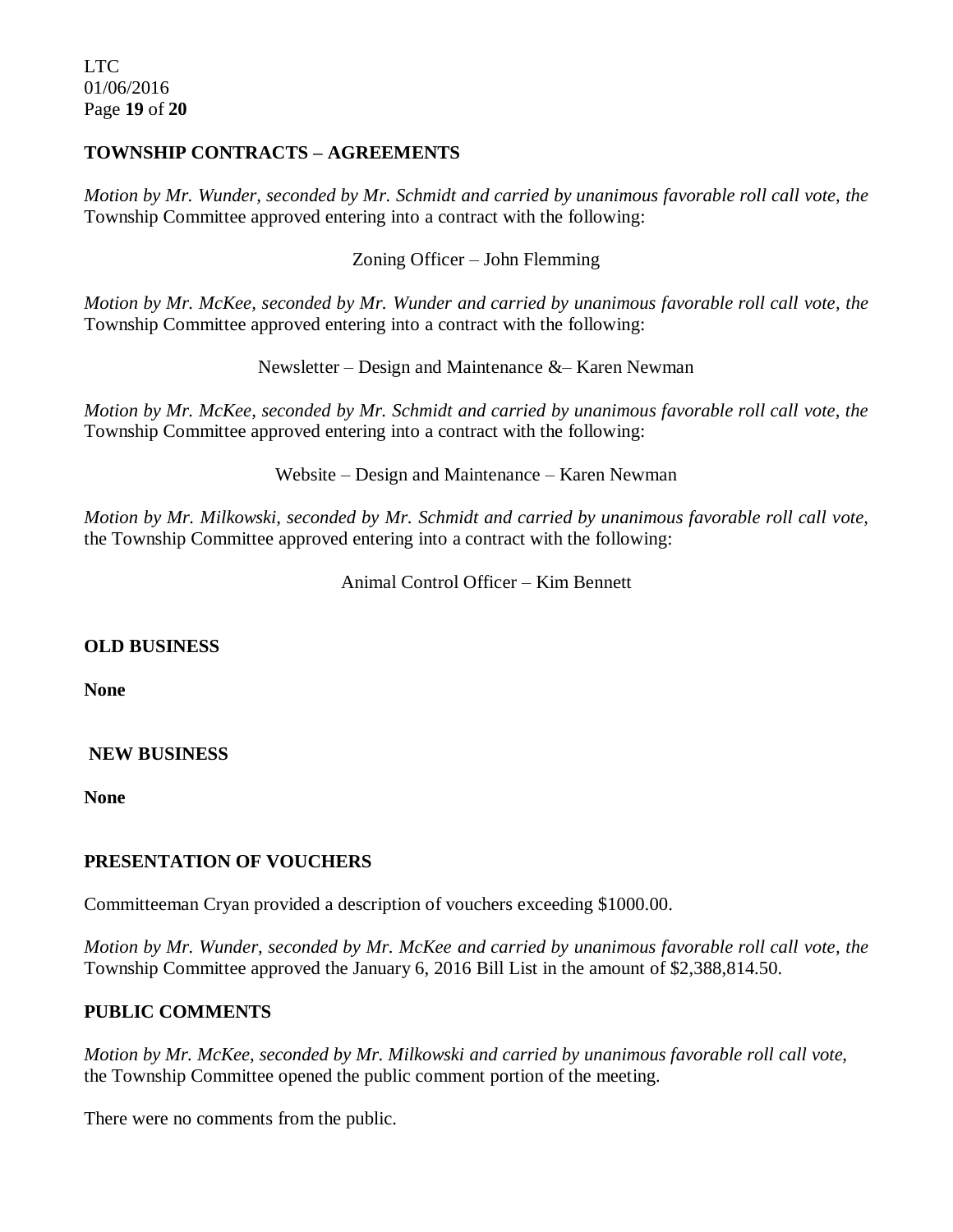# **TOWNSHIP CONTRACTS – AGREEMENTS**

*Motion by Mr. Wunder, seconded by Mr. Schmidt and carried by unanimous favorable roll call vote, the* Township Committee approved entering into a contract with the following:

Zoning Officer – John Flemming

*Motion by Mr. McKee, seconded by Mr. Wunder and carried by unanimous favorable roll call vote, the* Township Committee approved entering into a contract with the following:

Newsletter – Design and Maintenance &– Karen Newman

*Motion by Mr. McKee, seconded by Mr. Schmidt and carried by unanimous favorable roll call vote, the* Township Committee approved entering into a contract with the following:

Website – Design and Maintenance – Karen Newman

*Motion by Mr. Milkowski, seconded by Mr. Schmidt and carried by unanimous favorable roll call vote,*  the Township Committee approved entering into a contract with the following:

Animal Control Officer – Kim Bennett

#### **OLD BUSINESS**

**None**

#### **NEW BUSINESS**

**None**

#### **PRESENTATION OF VOUCHERS**

Committeeman Cryan provided a description of vouchers exceeding \$1000.00.

*Motion by Mr. Wunder, seconded by Mr. McKee and carried by unanimous favorable roll call vote, the* Township Committee approved the January 6, 2016 Bill List in the amount of \$2,388,814.50.

# **PUBLIC COMMENTS**

*Motion by Mr. McKee, seconded by Mr. Milkowski and carried by unanimous favorable roll call vote,*  the Township Committee opened the public comment portion of the meeting.

There were no comments from the public.